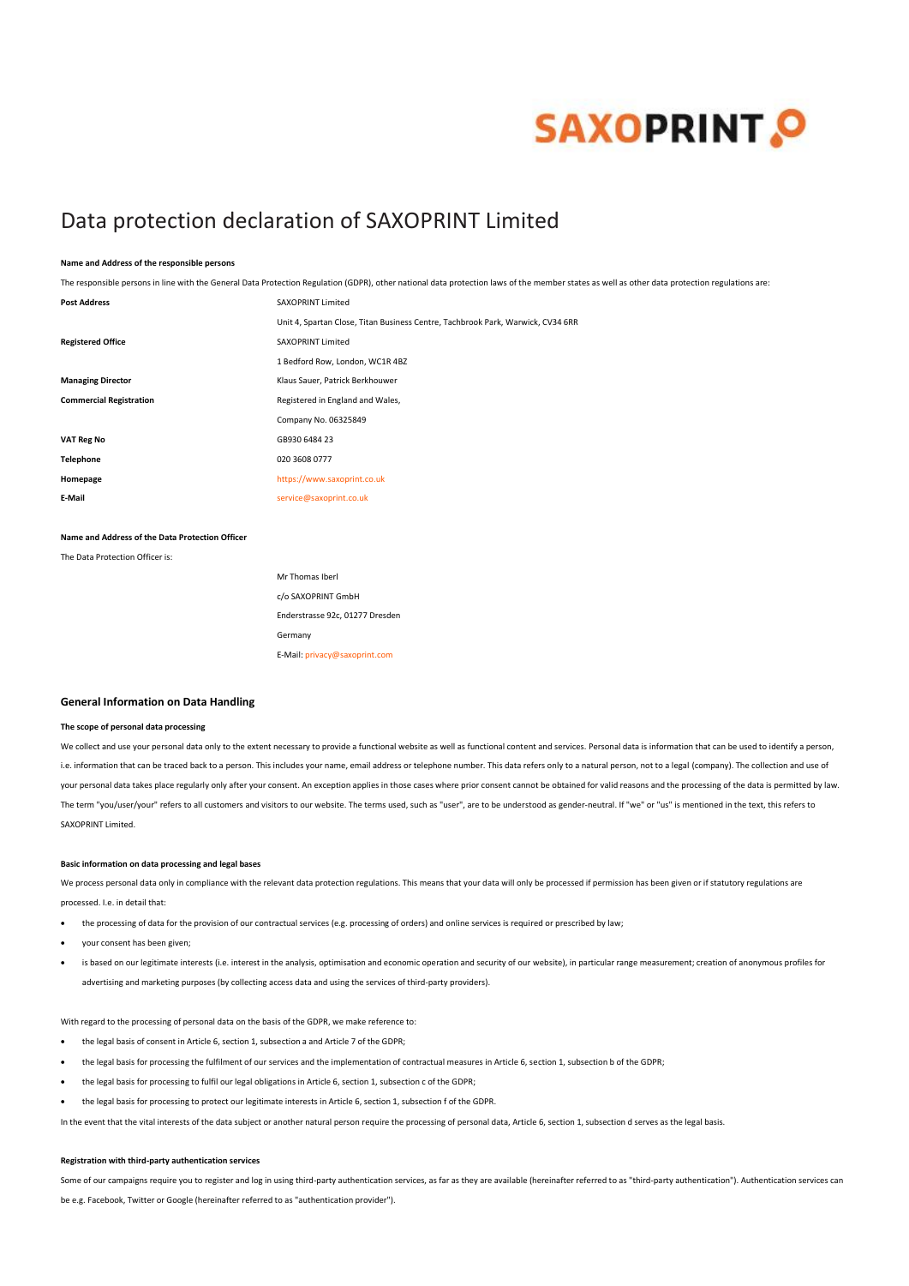# **SAXOPRINT O**

## Data protection declaration of SAXOPRINT Limited

#### **Name and Address of the responsible persons**

The responsible persons in line with the General Data Protection Regulation (GDPR), other national data protection laws of the member states as well as other data protection regulations are:

| <b>Post Address</b>            | <b>SAXOPRINT Limited</b>                                                        |
|--------------------------------|---------------------------------------------------------------------------------|
|                                | Unit 4, Spartan Close, Titan Business Centre, Tachbrook Park, Warwick, CV34 6RR |
| <b>Registered Office</b>       | SAXOPRINT Limited                                                               |
|                                | 1 Bedford Row, London, WC1R 4BZ                                                 |
| <b>Managing Director</b>       | Klaus Sauer, Patrick Berkhouwer                                                 |
| <b>Commercial Registration</b> | Registered in England and Wales,                                                |
|                                | Company No. 06325849                                                            |
| VAT Reg No                     | GB930 6484 23                                                                   |
| <b>Telephone</b>               | 020 3608 0777                                                                   |
| Homepage                       | https://www.saxoprint.co.uk                                                     |
| E-Mail                         | service@saxoprint.co.uk                                                         |
|                                |                                                                                 |

## **Name and Address of the Data Protection Officer**

The Data Protection Officer is:

Mr Thomas Iberl c/o SAXOPRINT GmbH Enderstrasse 92c, 01277 Dresden Germany E-Mail: [privacy@saxoprint.com](mailto:privacy@saxoprint.com)

## **General Information on Data Handling**

### **The scope of personal data processing**

We collect and use your personal data only to the extent necessary to provide a functional website as well as functional content and services. Personal data is information that can be used to identify a person, i.e. information that can be traced back to a person. This includes your name, email address or telephone number. This data refers only to a natural person, not to a legal (company). The collection and use of your personal data takes place regularly only after your consent. An exception applies in those cases where prior consent cannot be obtained for valid reasons and the processing of the data is permitted by law. The term "you/user/your" refers to all customers and visitors to our website. The terms used, such as "user", are to be understood as gender-neutral. If "we" or "us" is mentioned in the text, this refers to SAXOPRINT Limited.

## **Basic information on data processing and legal bases**

We process personal data only in compliance with the relevant data protection regulations. This means that your data will only be processed if permission has been given or if statutory regulations are processed. I.e. in detail that:

- the processing of data for the provision of our contractual services (e.g. processing of orders) and online services is required or prescribed by law;
- your consent has been given;
- is based on our legitimate interests (i.e. interest in the analysis, optimisation and economic operation and security of our website), in particular range measurement; creation of anonymous profiles for advertising and marketing purposes (by collecting access data and using the services of third-party providers).

With regard to the processing of personal data on the basis of the GDPR, we make reference to:

- the legal basis of consent in Article 6, section 1, subsection a and Article 7 of the GDPR;
- the legal basis for processing the fulfilment of our services and the implementation of contractual measures in Article 6, section 1, subsection b of the GDPR;
- the legal basis for processing to fulfil our legal obligations in Article 6, section 1, subsection c of the GDPR;
- the legal basis for processing to protect our legitimate interests in Article 6, section 1, subsection f of the GDPR.

In the event that the vital interests of the data subject or another natural person require the processing of personal data, Article 6, section 1, subsection d serves as the legal basis.

#### **Registration with third-party authentication services**

Some of our campaigns require you to register and log in using third-party authentication services, as far as they are available (hereinafter referred to as "third-party authentication"). Authentication services can be e.g. Facebook, Twitter or Google (hereinafter referred to as "authentication provider").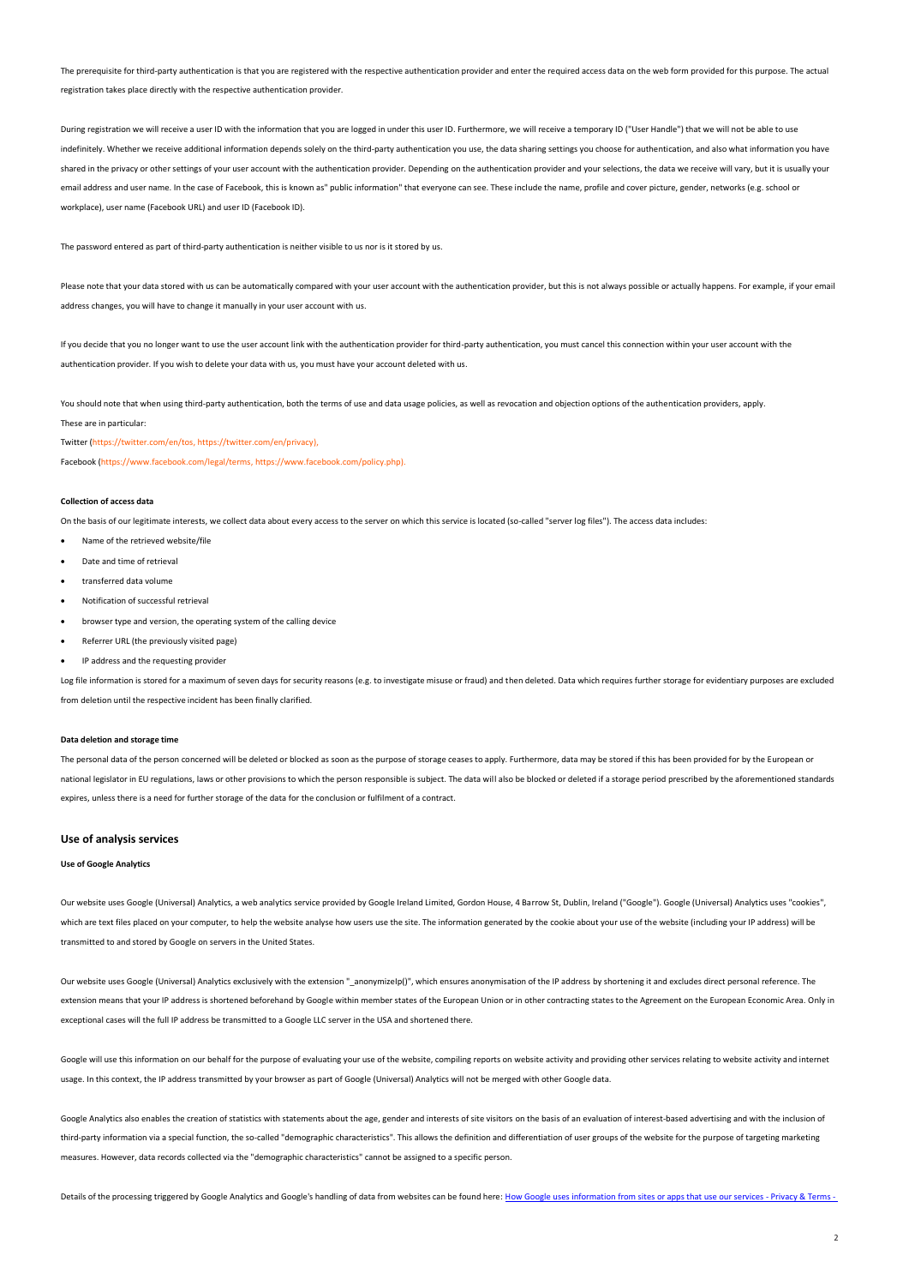The prerequisite for third-party authentication is that you are registered with the respective authentication provider and enter the required access data on the web form provided for this purpose. The actual registration takes place directly with the respective authentication provider.

During registration we will receive a user ID with the information that you are logged in under this user ID. Furthermore, we will receive a temporary ID ("User Handle") that we will not be able to use indefinitely. Whether we receive additional information depends solely on the third-party authentication you use, the data sharing settings you choose for authentication, and also what information you have shared in the privacy or other settings of your user account with the authentication provider. Depending on the authentication provider and your selections, the data we receive will vary, but it is usually your email address and user name. In the case of Facebook, this is known as" public information" that everyone can see. These include the name, profile and cover picture, gender, networks (e.g. school or workplace), user name (Facebook URL) and user ID (Facebook ID).

The password entered as part of third-party authentication is neither visible to us nor is it stored by us.

Please note that your data stored with us can be automatically compared with your user account with the authentication provider, but this is not always possible or actually happens. For example, if your email address changes, you will have to change it manually in your user account with us.

If you decide that you no longer want to use the user account link with the authentication provider for third-party authentication, you must cancel this connection within your user account with the authentication provider. If you wish to delete your data with us, you must have your account deleted with us.

You should note that when using third-party authentication, both the terms of use and data usage policies, as well as revocation and objection options of the authentication providers, apply. These are in particular:

Twitter [\(https://twitter.com/en/tos,](https://twitter.com/en/tos) [https://twitter.com/en/privacy\),](https://twitter.com/en/privacy)

Facebook [\(https://www.facebook.com/legal/terms,](https://www.facebook.com/legal/terms) [https://www.facebook.com/policy.php\).](https://www.facebook.com/policy.php)

## **Collection of access data**

On the basis of our legitimate interests, we collect data about every access to the server on which this service is located (so-called "server log files"). The access data includes:

- Name of the retrieved website/file
- Date and time of retrieval
- transferred data volume
- Notification of successful retrieval
- browser type and version, the operating system of the calling device
- Referrer URL (the previously visited page)
- IP address and the requesting provider

Log file information is stored for a maximum of seven days for security reasons (e.g. to investigate misuse or fraud) and then deleted. Data which requires further storage for evidentiary purposes are excluded from deletion until the respective incident has been finally clarified.

## **Data deletion and storage time**

The personal data of the person concerned will be deleted or blocked as soon as the purpose of storage ceases to apply. Furthermore, data may be stored if this has been provided for by the European or national legislator in EU regulations, laws or other provisions to which the person responsible is subject. The data will also be blocked or deleted if a storage period prescribed by the aforementioned standards expires, unless there is a need for further storage of the data for the conclusion or fulfilment of a contract.

## **Use of analysis services**

## **Use of Google Analytics**

Our website uses Google (Universal) Analytics, a web analytics service provided by Google Ireland Limited, Gordon House, 4 Barrow St, Dublin, Ireland ("Google"). Google (Universal) Analytics uses "cookies", which are text files placed on your computer, to help the website analyse how users use the site. The information generated by the cookie about your use of the website (including your IP address) will be transmitted to and stored by Google on servers in the United States.

Our website uses Google (Universal) Analytics exclusively with the extension "\_anonymizeIp()", which ensures anonymisation of the IP address by shortening it and excludes direct personal reference. The extension means that your IP address is shortened beforehand by Google within member states of the European Union or in other contracting states to the Agreement on the European Economic Area. Only in exceptional cases will the full IP address be transmitted to a Google LLC server in the USA and shortened there.

Google will use this information on our behalf for the purpose of evaluating your use of the website, compiling reports on website activity and providing other services relating to website activity and internet usage. In this context, the IP address transmitted by your browser as part of Google (Universal) Analytics will not be merged with other Google data.

Google Analytics also enables the creation of statistics with statements about the age, gender and interests of site visitors on the basis of an evaluation of interest-based advertising and with the inclusion of third-party information via a special function, the so-called "demographic characteristics". This allows the definition and differentiation of user groups of the website for the purpose of targeting marketing measures. However, data records collected via the "demographic characteristics" cannot be assigned to a specific person.

Details of the processing triggered by Google Analytics and Google's handling of data from websites can be found here: How Google [uses information from sites or apps that use our services -](https://policies.google.com/technologies/partner-sites?hl=en-GB) Privacy & Terms -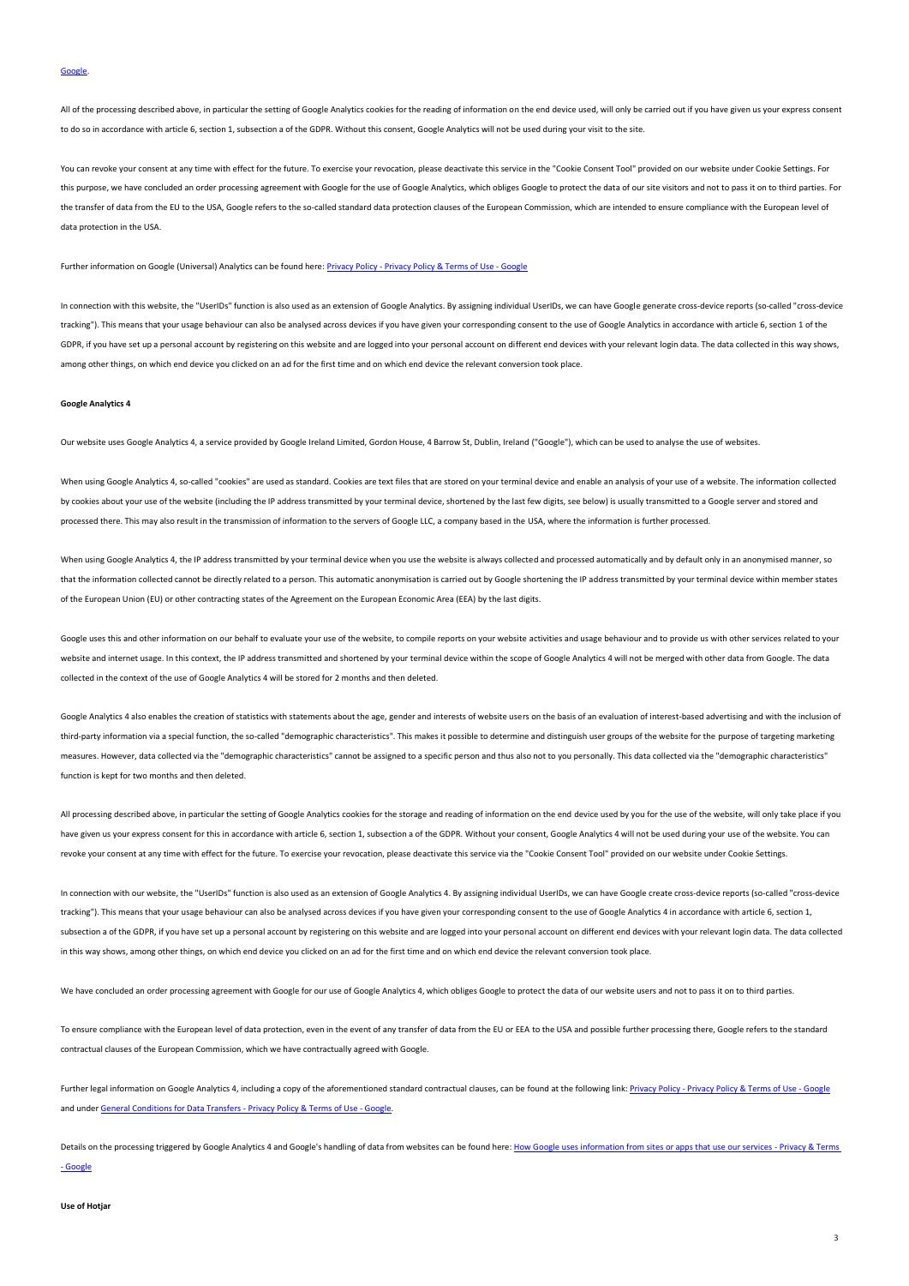All of the processing described above, in particular the setting of Google Analytics cookies for the reading of information on the end device used, will only be carried out if you have given us your express consent to do so in accordance with article 6, section 1, subsection a of the GDPR. Without this consent, Google Analytics will not be used during your visit to the site.

You can revoke your consent at any time with effect for the future. To exercise your revocation, please deactivate this service in the "Cookie Consent Tool" provided on our website under Cookie Settings. For this purpose, we have concluded an order processing agreement with Google for the use of Google Analytics, which obliges Google to protect the data of our site visitors and not to pass it on to third parties. For the transfer of data from the EU to the USA. Google refers to the so-called standard data protection clauses of the European Commission, which are intended to ensure compliance with the European level of data protection in the USA.

## Further information on Google (Universal) Analytics can be found here: Privacy Policy - [Privacy Policy & Terms of Use -](https://policies.google.com/privacy?hl=en-GB) Google

In connection with this website, the "UserIDs" function is also used as an extension of Google Analytics. By assigning individual UserIDs, we can have Google generate cross-device reports (so-called "cross-device tracking"). This means that your usage behaviour can also be analysed across devices if you have given your corresponding consent to the use of Google Analytics in accordance with article 6, section 1 of the GDPR, if you have set up a personal account by registering on this website and are logged into your personal account on different end devices with your relevant login data. The data collected in this way shows, among other things, on which end device you clicked on an ad for the first time and on which end device the relevant conversion took place.

#### **Google Analytics 4**

Our website uses Google Analytics 4, a service provided by Google Ireland Limited, Gordon House, 4 Barrow St, Dublin, Ireland ("Google"), which can be used to analyse the use of websites.

When using Google Analytics 4, so-called "cookies" are used as standard. Cookies are text files that are stored on your terminal device and enable an analysis of your use of a website. The information collected by cookies about your use of the website (including the IP address transmitted by your terminal device, shortened by the last few digits, see below) is usually transmitted to a Google server and stored and processed there. This may also result in the transmission of information to the servers of Google LLC, a company based in the USA, where the information is further processed.

When using Google Analytics 4, the IP address transmitted by your terminal device when you use the website is always collected and processed automatically and by default only in an anonymised manner, so that the information collected cannot be directly related to a person. This automatic anonymisation is carried out by Google shortening the IP address transmitted by your terminal device within member states of the European Union (EU) or other contracting states of the Agreement on the European Economic Area (EEA) by the last digits.

Google uses this and other information on our behalf to evaluate your use of the website, to compile reports on your website activities and usage behaviour and to provide us with other services related to your website and internet usage. In this context, the IP address transmitted and shortened by your terminal device within the scope of Google Analytics 4 will not be merged with other data from Google. The data collected in the context of the use of Google Analytics 4 will be stored for 2 months and then deleted.

Google Analytics 4 also enables the creation of statistics with statements about the age, gender and interests of website users on the basis of an evaluation of interest-based advertising and with the inclusion of third-party information via a special function, the so-called "demographic characteristics". This makes it possible to determine and distinguish user groups of the website for the purpose of targeting marketing measures. However, data collected via the "demographic characteristics" cannot be assigned to a specific person and thus also not to you personally. This data collected via the "demographic characteristics" function is kept for two months and then deleted.

All processing described above, in particular the setting of Google Analytics cookies for the storage and reading of information on the end device used by you for the use of the website, will only take place if you have given us your express consent for this in accordance with article 6, section 1, subsection a of the GDPR. Without your consent, Google Analytics 4 will not be used during your use of the website. You can revoke your consent at any time with effect for the future. To exercise your revocation, please deactivate this service via the "Cookie Consent Tool" provided on our website under Cookie Settings.

In connection with our website, the "UserIDs" function is also used as an extension of Google Analytics 4. By assigning individual UserIDs, we can have Google create cross-device reports (so-called "cross-device tracking"). This means that your usage behaviour can also be analysed across devices if you have given your corresponding consent to the use of Google Analytics 4 in accordance with article 6, section 1, subsection a of the GDPR, if you have set up a personal account by registering on this website and are logged into your personal account on different end devices with your relevant login data. The data collected in this way shows, among other things, on which end device you clicked on an ad for the first time and on which end device the relevant conversion took place.

We have concluded an order processing agreement with Google for our use of Google Analytics 4, which obliges Google to protect the data of our website users and not to pass it on to third parties.

To ensure compliance with the European level of data protection, even in the event of any transfer of data from the EU or EEA to the USA and possible further processing there, Google refers to the standard contractual clauses of the European Commission, which we have contractually agreed with Google.

Further legal information on Google Analytics 4, including a copy of the aforementioned standard contractual clauses, can be found at the following link: Privacy Policy - [Privacy Policy & Terms of Use -](https://policies.google.com/technologies/partner-sites?hl=en-GB) Google and unde[r General Conditions for Data Transfers -](https://policies.google.com/privacy/frameworks?hl=en-GB&gl=de) Privacy Policy & Terms of Use - Google.

Details on the processing triggered by Google Analytics 4 and Google's handling of data from websites can be found here[: How Google uses information from sites or apps that use our services -](How%20Google%20uses%20information%20from%20sites%20or%20apps%20that%20use%20our%20services%20-%20Privacy%20&%20Terms%20-%20Google) Privacy & Terms - [Google](How%20Google%20uses%20information%20from%20sites%20or%20apps%20that%20use%20our%20services%20-%20Privacy%20&%20Terms%20-%20Google)

#### **Use of Hotjar**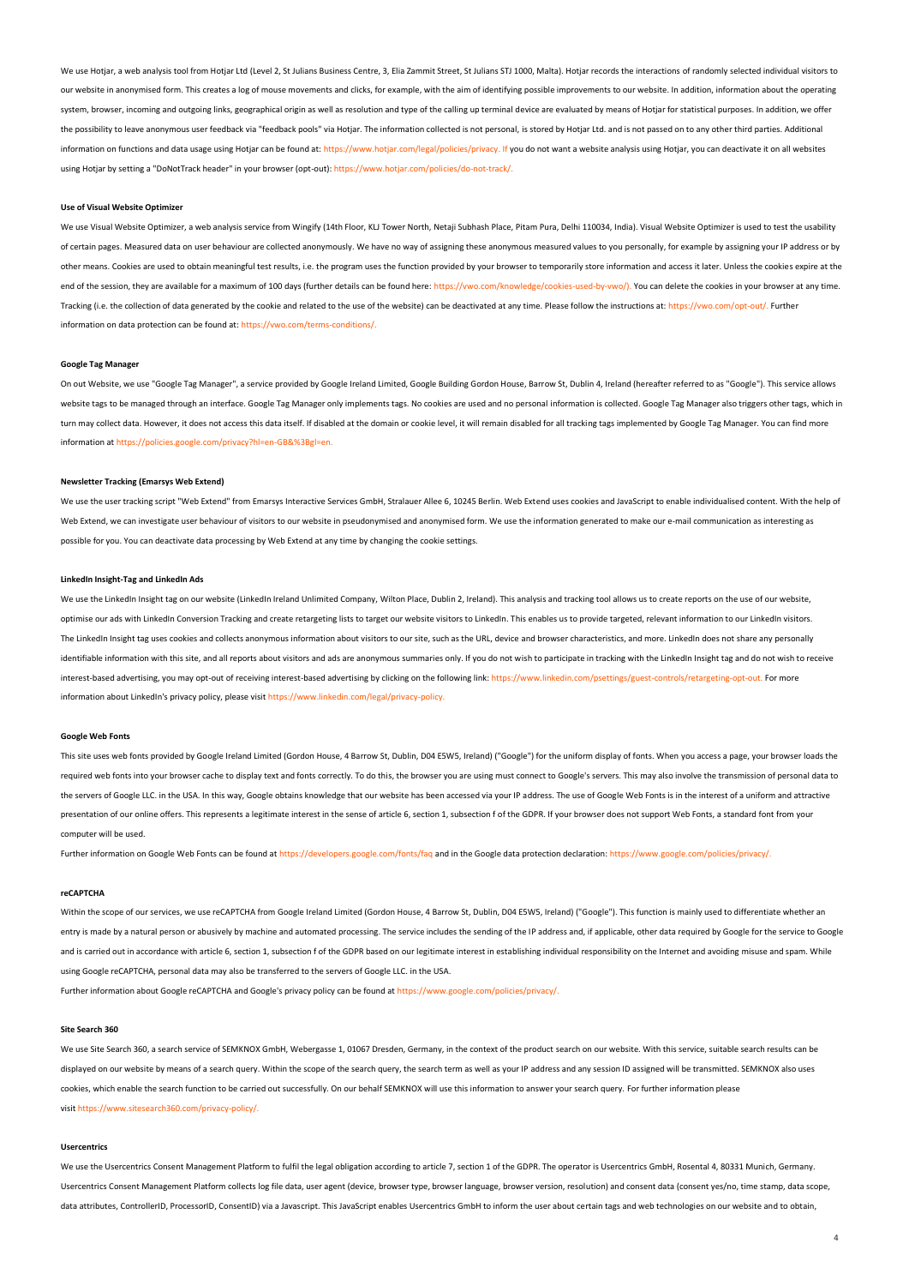We use Hotiar, a web analysis tool from Hotiar Ltd (Level 2, St Julians Business Centre, 3, Elia Zammit Street, St Julians STJ 1000, Malta). Hotiar records the interactions of randomly selected individual visitors to our website in anonymised form. This creates a log of mouse movements and clicks, for example, with the aim of identifying possible improvements to our website. In addition, information about the operating system, browser, incoming and outgoing links, geographical origin as well as resolution and type of the calling up terminal device are evaluated by means of Hotjar for statistical purposes. In addition, we offer the possibility to leave anonymous user feedback via "feedback pools" via Hotjar. The information collected is not personal, is stored by Hotjar Ltd. and is not passed on to any other third parties. Additional information on functions and data usage using Hotjar can be found at: [https://www.hotjar.com/legal/policies/privacy.](https://www.hotjar.com/legal/policies/privacy) If you do not want a website analysis using Hotjar, you can deactivate it on all websites using Hotjar by setting a "DoNotTrack header" in your browser (opt-out): [https://www.hotjar.com/policies/do-not-track/.](https://www.hotjar.com/policies/do-not-track/)

#### **Use of Visual Website Optimizer**

We use Visual Website Optimizer, a web analysis service from Wingify (14th Floor, KLJ Tower North, Netaji Subhash Place, Pitam Pura, Delhi 110034, India). Visual Website Optimizer is used to test the usability of certain pages. Measured data on user behaviour are collected anonymously. We have no way of assigning these anonymous measured values to you personally, for example by assigning your IP address or by other means. Cookies are used to obtain meaningful test results, i.e. the program uses the function provided by your browser to temporarily store information and access it later. Unless the cookies expire at the end of the session, they are available for a maximum of 100 days (further details can be found here: [https://vwo.com/knowledge/cookies-used-by-vwo/\).](https://vwo.com/knowledge/cookies-used-by-vwo/) You can delete the cookies in your browser at any time. Tracking (i.e. the collection of data generated by the cookie and related to the use of the website) can be deactivated at any time. Please follow the instructions at: [https://vwo.com/opt-out/.](https://vwo.com/opt-out/) Further information on data protection can be found at: https://vwo.com/terms-conditions

## **Google Tag Manager**

On out Website, we use "Google Tag Manager", a service provided by Google Ireland Limited, Google Building Gordon House, Barrow St, Dublin 4, Ireland (hereafter referred to as "Google"). This service allows website tags to be managed through an interface. Google Tag Manager only implements tags. No cookies are used and no personal information is collected. Google Tag Manager also triggers other tags, which in turn may collect data. However, it does not access this data itself. If disabled at the domain or cookie level, it will remain disabled for all tracking tags implemented by Google Tag Manager. You can find more information at [https://policies.google.com/privacy?hl=en-GB&%3Bgl=en.](https://policies.google.com/privacy?hl=en-GB&amp%3Bgl=en)

#### **Newsletter Tracking (Emarsys Web Extend)**

We use the user tracking script "Web Extend" from Emarsys Interactive Services GmbH, Stralauer Allee 6, 10245 Berlin. Web Extend uses cookies and JavaScript to enable individualised content. With the help of Web Extend, we can investigate user behaviour of visitors to our website in pseudonymised and anonymised form. We use the information generated to make our e-mail communication as interesting as possible for you. You can deactivate data processing by Web Extend at any time by changing the cookie settings.

#### **LinkedIn Insight-Tag and LinkedIn Ads**

We use the LinkedIn Insight tag on our website (LinkedIn Ireland Unlimited Company, Wilton Place, Dublin 2, Ireland). This analysis and tracking tool allows us to create reports on the use of our website, optimise our ads with LinkedIn Conversion Tracking and create retargeting lists to target our website visitors to LinkedIn. This enables us to provide targeted, relevant information to our LinkedIn visitors. The LinkedIn Insight tag uses cookies and collects anonymous information about visitors to our site, such as the URL, device and browser characteristics, and more. LinkedIn does not share any personally identifiable information with this site, and all reports about visitors and ads are anonymous summaries only. If you do not wish to participate in tracking with the LinkedIn Insight tag and do not wish to receive interest-based advertising, you may opt-out of receiving interest-based advertising by clicking on the following link: [https://www.linkedin.com/psettings/guest-controls/retargeting-opt-out.](https://www.linkedin.com/psettings/guest-controls/retargeting-opt-out) For more information about LinkedIn's privacy policy, please visit [https://www.linkedin.com/legal/privacy-policy.](https://www.linkedin.com/legal/privacy-policy)

#### **Google Web Fonts**

This site uses web fonts provided by Google Ireland Limited (Gordon House, 4 Barrow St, Dublin, D04 E5W5, Ireland) ("Google") for the uniform display of fonts. When you access a page, your browser loads the required web fonts into your browser cache to display text and fonts correctly. To do this, the browser you are using must connect to Google's servers. This may also involve the transmission of personal data to the servers of Google LLC. in the USA. In this way, Google obtains knowledge that our website has been accessed via your IP address. The use of Google Web Fonts is in the interest of a uniform and attractive presentation of our online offers. This represents a legitimate interest in the sense of article 6, section 1, subsection f of the GDPR. If your browser does not support Web Fonts, a standard font from your computer will be used.

## Further information on Google Web Fonts can be found at <https://developers.google.com/fonts/faq> and in the Google data protection declaration: [https://www.google.com/policies/privacy/.](https://www.google.com/policies/privacy/)

### **reCAPTCHA**

Within the scope of our services, we use reCAPTCHA from Google Ireland Limited (Gordon House, 4 Barrow St, Dublin, D04 E5W5, Ireland) ("Google"). This function is mainly used to differentiate whether an entry is made by a natural person or abusively by machine and automated processing. The service includes the sending of the IP address and, if applicable, other data required by Google for the service to Google and is carried out in accordance with article 6, section 1, subsection f of the GDPR based on our legitimate interest in establishing individual responsibility on the Internet and avoiding misuse and spam. While using Google reCAPTCHA, personal data may also be transferred to the servers of Google LLC. in the USA.

Further information about Google reCAPTCHA and Google's privacy policy can be found at [https://www.google.com/policies/privacy/.](https://www.google.com/policies/privacy/)

## **Site Search 360**

We use Site Search 360, a search service of SEMKNOX GmbH, Webergasse 1, 01067 Dresden, Germany, in the context of the product search on our website. With this service, suitable search results can be displayed on our website by means of a search query. Within the scope of the search query, the search term as well as your IP address and any session ID assigned will be transmitted. SEMKNOX also uses cookies, which enable the search function to be carried out successfully. On our behalf SEMKNOX will use this information to answer your search query. For further information please visit [https://www.sitesearch360.com/privacy-policy/.](https://www.sitesearch360.com/privacy-policy/)

### **Usercentrics**

We use the Usercentrics Consent Management Platform to fulfil the legal obligation according to article 7, section 1 of the GDPR. The operator is Usercentrics GmbH, Rosental 4, 80331 Munich, Germany. Usercentrics Consent Management Platform collects log file data, user agent (device, browser type, browser language, browser version, resolution) and consent data (consent yes/no, time stamp, data scope, data attributes, ControllerID, ProcessorID, ConsentID) via a Javascript. This JavaScript enables Usercentrics GmbH to inform the user about certain tags and web technologies on our website and to obtain.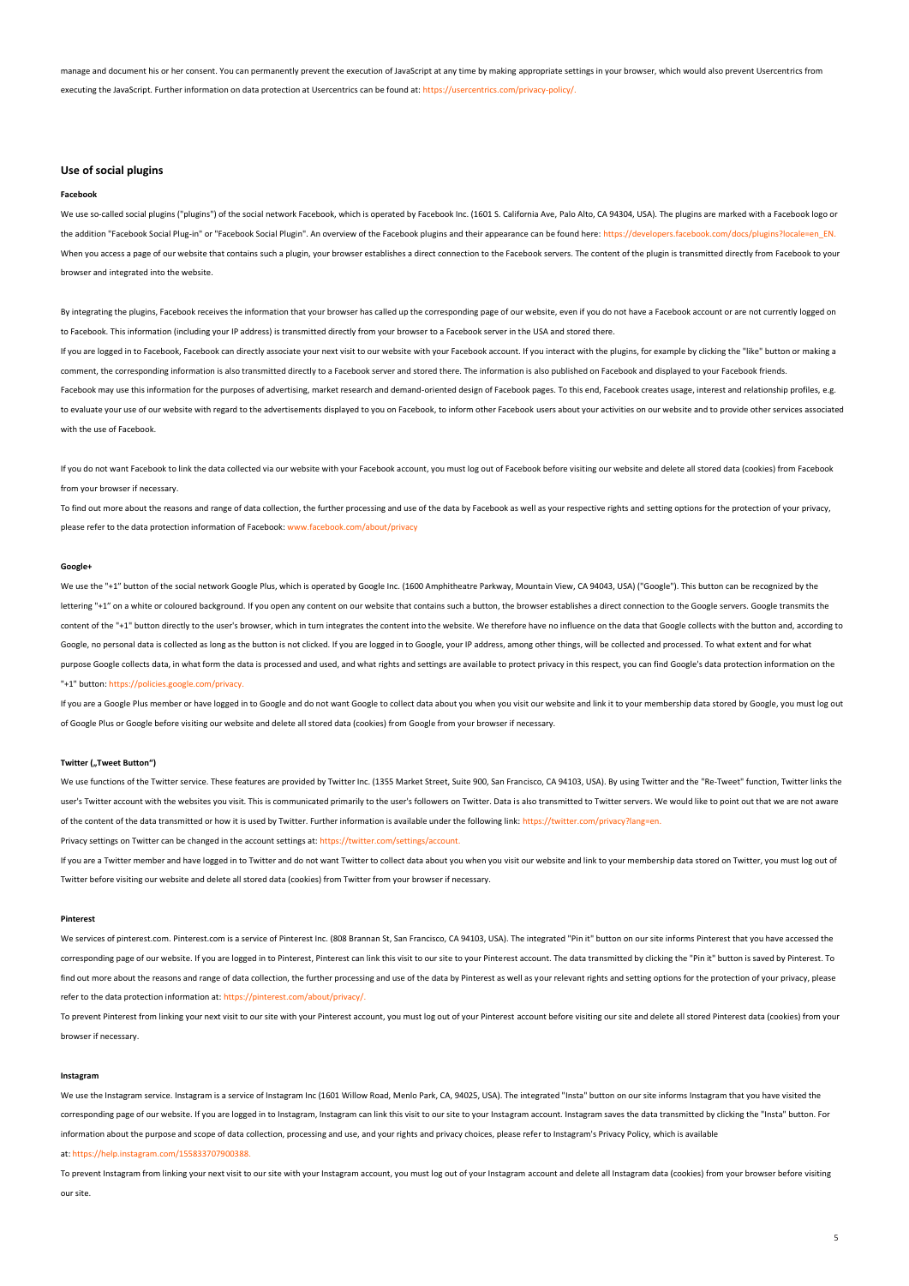manage and document his or her consent. You can permanently prevent the execution of JavaScript at any time by making appropriate settings in your browser, which would also prevent Usercentrics from executing the JavaScript. Further information on data protection at Usercentrics can be found at: [https://usercentrics.com/privacy-policy/.](https://usercentrics.com/privacy-policy/)

## **Use of social plugins**

#### **Facebook**

We use so-called social plugins ("plugins") of the social network Facebook, which is operated by Facebook Inc. (1601 S. California Ave, Palo Alto, CA 94304, USA). The plugins are marked with a Facebook logo or the addition "Facebook Social Plug-in" or "Facebook Social Plugin". An overview of the Facebook plugins and their appearance can be found here: [https://developers.facebook.com/docs/plugins?locale=en\\_EN.](https://developers.facebook.com/docs/plugins?locale=en_EN) When you access a page of our website that contains such a plugin, your browser establishes a direct connection to the Facebook servers. The content of the plugin is transmitted directly from Facebook to your browser and integrated into the website.

By integrating the plugins, Facebook receives the information that your browser has called up the corresponding page of our website, even if you do not have a Facebook account or are not currently logged on to Facebook. This information (including your IP address) is transmitted directly from your browser to a Facebook server in the USA and stored there.

If you are logged in to Facebook, Facebook can directly associate your next visit to our website with your Facebook account. If you interact with the plugins, for example by clicking the "like" button or making a comment, the corresponding information is also transmitted directly to a Facebook server and stored there. The information is also published on Facebook and displayed to your Facebook friends. Facebook may use this information for the purposes of advertising, market research and demand-oriented design of Facebook pages. To this end, Facebook creates usage, interest and relationship profiles, e.g. to evaluate your use of our website with regard to the advertisements displayed to you on Facebook, to inform other Facebook users about your activities on our website and to provide other services associated with the use of Facebook.

If you do not want Facebook to link the data collected via our website with your Facebook account, you must log out of Facebook before visiting our website and delete all stored data (cookies) from Facebook from your browser if necessary.

To find out more about the reasons and range of data collection, the further processing and use of the data by Facebook as well as your respective rights and setting options for the protection of your privacy, please refer to the data protection information of Facebook: [www.facebook.com/about/privacy](https://www.facebook.com/about/privacy)

#### **Google+**

We use the "+1" button of the social network Google Plus, which is operated by Google Inc. (1600 Amphitheatre Parkway, Mountain View, CA 94043, USA) ("Google"). This button can be recognized by the lettering "+1" on a white or coloured background. If you open any content on our website that contains such a button, the browser establishes a direct connection to the Google servers. Google transmits the content of the "+1" button directly to the user's browser, which in turn integrates the content into the website. We therefore have no influence on the data that Google collects with the button and, according to Google, no personal data is collected as long as the button is not clicked. If you are logged in to Google, your IP address, among other things, will be collected and processed. To what extent and for what purpose Google collects data, in what form the data is processed and used, and what rights and settings are available to protect privacy in this respect, you can find Google's data protection information on the "+1" button: [https://policies.google.com/privacy.](https://policies.google.com/privacy)

If you are a Google Plus member or have logged in to Google and do not want Google to collect data about you when you visit our website and link it to your membership data stored by Google, you must log out of Google Plus or Google before visiting our website and delete all stored data (cookies) from Google from your browser if necessary.

#### **Twitter ("Tweet Button")**

We use functions of the Twitter service. These features are provided by Twitter Inc. (1355 Market Street, Suite 900, San Francisco, CA 94103, USA). By using Twitter and the "Re-Tweet" function, Twitter links the user's Twitter account with the websites you visit. This is communicated primarily to the user's followers on Twitter. Data is also transmitted to Twitter servers. We would like to point out that we are not aware of the content of the data transmitted or how it is used by Twitter. Further information is available under the following link: [https://twitter.com/privacy?lang=en.](https://twitter.com/privacy?lang=en) Privacy settings on Twitter can be changed in the account settings at: [https://twitter.com/settings/account.](https://twitter.com/settings/account)

If you are a Twitter member and have logged in to Twitter and do not want Twitter to collect data about you when you visit our website and link to your membership data stored on Twitter, you must log out of Twitter before visiting our website and delete all stored data (cookies) from Twitter from your browser if necessary.

#### **Pinterest**

We services of [pinterest.com.](http://pinterest.com/) [Pinterest.com](http://pinterest.com/) is a service of Pinterest Inc. (808 Brannan St, San Francisco, CA 94103, USA). The integrated "Pin it" button on our site informs Pinterest that you have accessed the corresponding page of our website. If you are logged in to Pinterest, Pinterest can link this visit to our site to your Pinterest account. The data transmitted by clicking the "Pin it" button is saved by Pinterest. To find out more about the reasons and range of data collection, the further processing and use of the data by Pinterest as well as your relevant rights and setting options for the protection of your privacy, please refer to the data protection information at: [https://pinterest.com/about/privacy/.](https://pinterest.com/about/privacy/)

To prevent Pinterest from linking your next visit to our site with your Pinterest account, you must log out of your Pinterest account before visiting our site and delete all stored Pinterest data (cookies) from your browser if necessary.

#### **Instagram**

We use the Instagram service. Instagram is a service of Instagram Inc (1601 Willow Road, Menlo Park, CA, 94025, USA). The integrated "Insta" button on our site informs Instagram that you have visited the corresponding page of our website. If you are logged in to Instagram, Instagram can link this visit to our site to your Instagram account. Instagram saves the data transmitted by clicking the "Insta" button. For information about the purpose and scope of data collection, processing and use, and your rights and privacy choices, please refer to Instagram's Privacy Policy, which is available at: [https://help.instagram.com/155833707900388.](https://help.instagram.com/155833707900388)

To prevent Instagram from linking your next visit to our site with your Instagram account, you must log out of your Instagram account and delete all Instagram data (cookies) from your browser before visiting our site.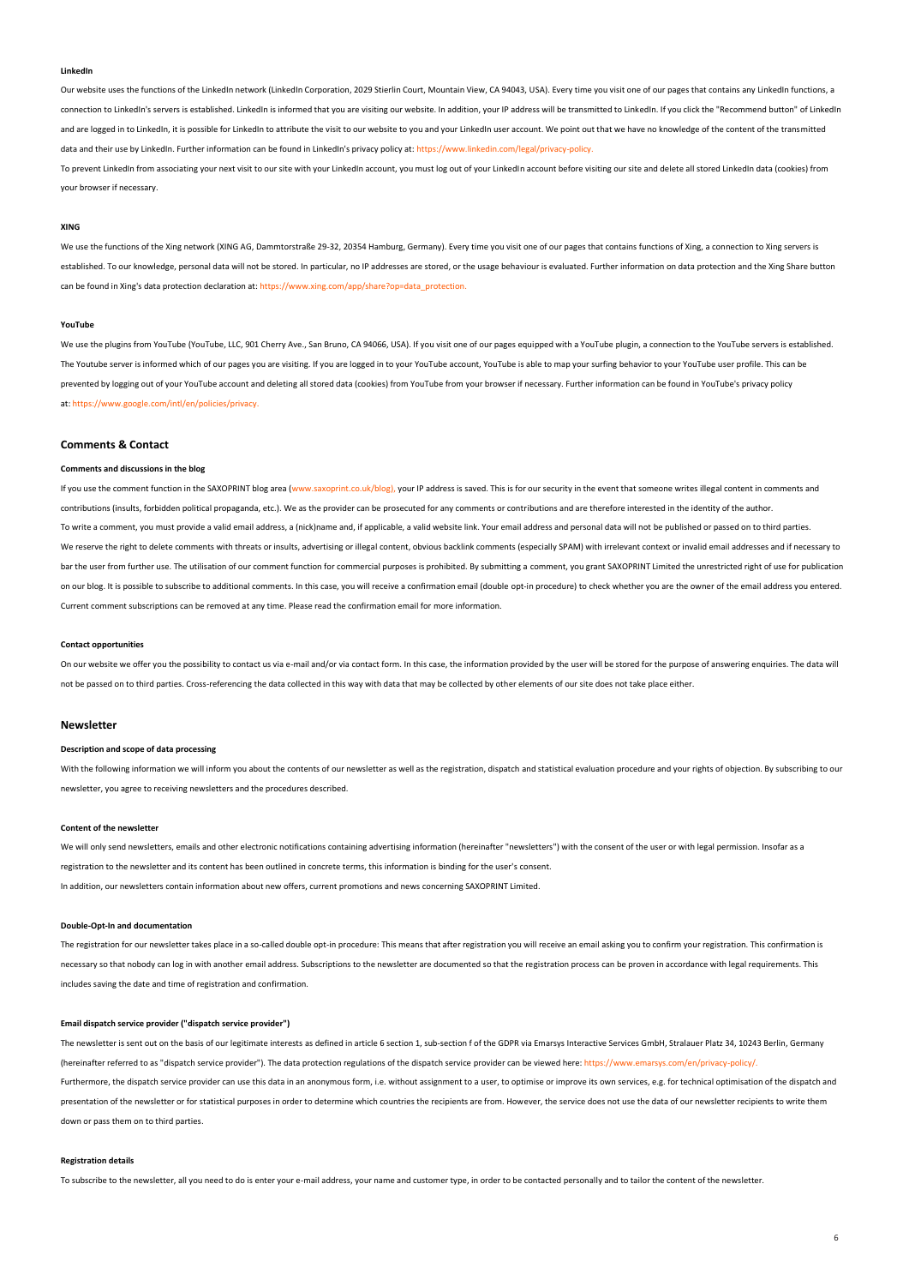#### **LinkedIn**

Our website uses the functions of the LinkedIn network (LinkedIn Corporation, 2029 Stierlin Court, Mountain View, CA 94043, USA). Every time you visit one of our pages that contains any LinkedIn functions, a connection to LinkedIn's servers is established. LinkedIn is informed that you are visiting our website. In addition, your IP address will be transmitted to LinkedIn. If you click the "Recommend button" of LinkedIn and are logged in to LinkedIn, it is possible for LinkedIn to attribute the visit to our website to you and your LinkedIn user account. We point out that we have no knowledge of the content of the transmitted data and their use by LinkedIn. Further information can be found in LinkedIn's privacy policy at: [https://www.linkedin.com/legal/privacy-policy.](https://www.linkedin.com/legal/privacy-policy)

To prevent LinkedIn from associating your next visit to our site with your LinkedIn account, you must log out of your LinkedIn account before visiting our site and delete all stored LinkedIn data (cookies) from your browser if necessary.

#### **XING**

We use the functions of the Xing network (XING AG, Dammtorstraße 29-32, 20354 Hamburg, Germany). Every time you visit one of our pages that contains functions of Xing, a connection to Xing servers is established. To our knowledge, personal data will not be stored. In particular, no IP addresses are stored, or the usage behaviour is evaluated. Further information on data protection and the Xing Share button can be found in Xing's data protection declaration at: https://www.xing.com/app/share?op=data\_protection

## **YouTube**

We use the plugins from YouTube (YouTube, LLC, 901 Cherry Ave., San Bruno, CA 94066, USA). If you visit one of our pages equipped with a YouTube plugin, a connection to the YouTube servers is established. The Youtube server is informed which of our pages you are visiting. If you are logged in to your YouTube account, YouTube is able to map your surfing behavior to your YouTube user profile. This can be prevented by logging out of your YouTube account and deleting all stored data (cookies) from YouTube from your browser if necessary. Further information can be found in YouTube's privacy policy at: [https://www.google.com/intl/en/policies/privacy.](https://www.google.com/intl/en/policies/privacy)

## **Comments & Contact**

#### **Comments and discussions in the blog**

If you use the comment function in the SAXOPRINT blog area [\(www.saxoprint.co.uk/blog\),](https://www.saxoprint.co.uk/blog) your IP address is saved. This is for our security in the event that someone writes illegal content in comments and contributions (insults, forbidden political propaganda, etc.). We as the provider can be prosecuted for any comments or contributions and are therefore interested in the identity of the author. To write a comment, you must provide a valid email address, a (nick)name and, if applicable, a valid website link. Your email address and personal data will not be published or passed on to third parties. We reserve the right to delete comments with threats or insults, advertising or illegal content, obvious backlink comments (especially SPAM) with irrelevant context or invalid email addresses and if necessary to bar the user from further use. The utilisation of our comment function for commercial purposes is prohibited. By submitting a comment, you grant SAXOPRINT Limited the unrestricted right of use for publication on our blog. It is possible to subscribe to additional comments. In this case, you will receive a confirmation email (double opt-in procedure) to check whether you are the owner of the email address you entered. Current comment subscriptions can be removed at any time. Please read the confirmation email for more information.

#### **Contact opportunities**

On our website we offer you the possibility to contact us via e-mail and/or via contact form. In this case, the information provided by the user will be stored for the purpose of answering enquiries. The data will not be passed on to third parties. Cross-referencing the data collected in this way with data that may be collected by other elements of our site does not take place either.

## **Newsletter**

## **Description and scope of data processing**

With the following information we will inform you about the contents of our newsletter as well as the registration, dispatch and statistical evaluation procedure and your rights of objection. By subscribing to our newsletter, you agree to receiving newsletters and the procedures described.

## **Content of the newsletter**

We will only send newsletters, emails and other electronic notifications containing advertising information (hereinafter "newsletters") with the consent of the user or with legal permission. Insofar as a registration to the newsletter and its content has been outlined in concrete terms, this information is binding for the user's consent. In addition, our newsletters contain information about new offers, current promotions and news concerning SAXOPRINT Limited.

## **Double-Opt-In and documentation**

The registration for our newsletter takes place in a so-called double opt-in procedure: This means that after registration you will receive an email asking you to confirm your registration. This confirmation is necessary so that nobody can log in with another email address. Subscriptions to the newsletter are documented so that the registration process can be proven in accordance with legal requirements. This includes saving the date and time of registration and confirmation.

#### **Email dispatch service provider ("dispatch service provider")**

The newsletter is sent out on the basis of our legitimate interests as defined in article 6 section 1, sub-section f of the GDPR via Emarsys Interactive Services GmbH, Stralauer Platz 34, 10243 Berlin, Germany (hereinafter referred to as "dispatch service provider"). The data protection regulations of the dispatch service provider can be viewed here: [https://www.emarsys.com/en/privacy-policy/.](https://www.emarsys.com/en/privacy-policy/) Furthermore, the dispatch service provider can use this data in an anonymous form, i.e. without assignment to a user, to optimise or improve its own services, e.g. for technical optimisation of the dispatch and presentation of the newsletter or for statistical purposes in order to determine which countries the recipients are from. However, the service does not use the data of our newsletter recipients to write them down or pass them on to third parties.

#### **Registration details**

To subscribe to the newsletter, all you need to do is enter your e-mail address, your name and customer type, in order to be contacted personally and to tailor the content of the newsletter.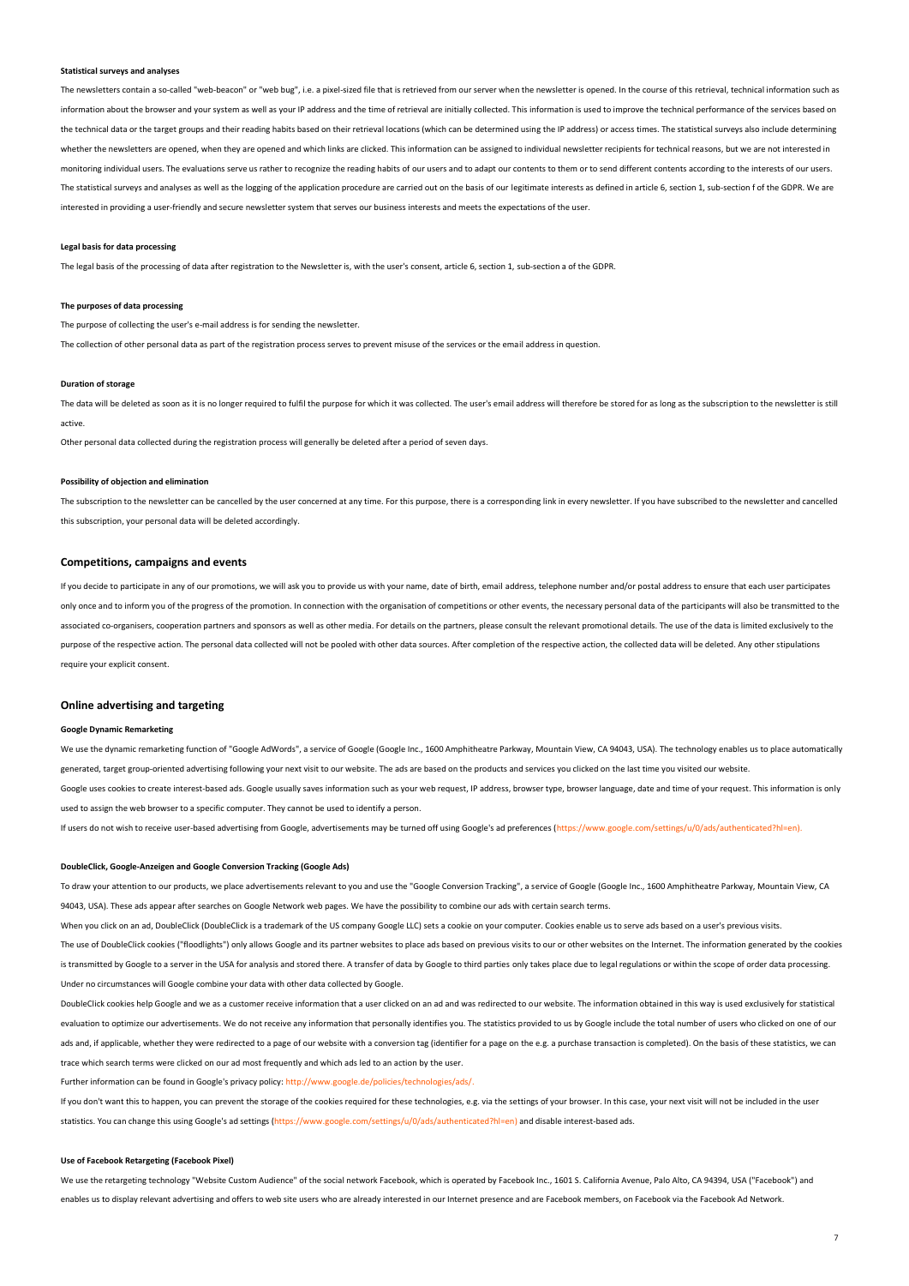#### **Statistical surveys and analyses**

The newsletters contain a so-called "web-beacon" or "web bug", i.e. a pixel-sized file that is retrieved from our server when the newsletter is opened. In the course of this retrieval, technical information such as information about the browser and your system as well as your IP address and the time of retrieval are initially collected. This information is used to improve the technical performance of the services based on the technical data or the target groups and their reading habits based on their retrieval locations (which can be determined using the IP address) or access times. The statistical surveys also include determining whether the newsletters are opened, when they are opened and which links are clicked. This information can be assigned to individual newsletter recipients for technical reasons, but we are not interested in monitoring individual users. The evaluations serve us rather to recognize the reading habits of our users and to adapt our contents to them or to send different contents according to the interests of our users. The statistical surveys and analyses as well as the logging of the application procedure are carried out on the basis of our legitimate interests as defined in article 6, section 1, sub-section f of the GDPR. We are interested in providing a user-friendly and secure newsletter system that serves our business interests and meets the expectations of the user.

#### **Legal basis for data processing**

The legal basis of the processing of data after registration to the Newsletter is, with the user's consent, article 6, section 1, sub-section a of the GDPR.

#### **The purposes of data processing**

The purpose of collecting the user's e-mail address is for sending the newsletter.

The collection of other personal data as part of the registration process serves to prevent misuse of the services or the email address in question.

#### **Duration of storage**

The data will be deleted as soon as it is no longer required to fulfil the purpose for which it was collected. The user's email address will therefore be stored for as long as the subscription to the newsletter is still active.

Other personal data collected during the registration process will generally be deleted after a period of seven days.

#### **Possibility of objection and elimination**

The subscription to the newsletter can be cancelled by the user concerned at any time. For this purpose, there is a corresponding link in every newsletter. If you have subscribed to the newsletter and cancelled this subscription, your personal data will be deleted accordingly.

## **Competitions, campaigns and events**

If you decide to participate in any of our promotions, we will ask you to provide us with your name, date of birth, email address, telephone number and/or postal address to ensure that each user participates only once and to inform you of the progress of the promotion. In connection with the organisation of competitions or other events, the necessary personal data of the participants will also be transmitted to the associated co-organisers, cooperation partners and sponsors as well as other media. For details on the partners, please consult the relevant promotional details. The use of the data is limited exclusively to the purpose of the respective action. The personal data collected will not be pooled with other data sources. After completion of the respective action, the collected data will be deleted. Any other stipulations require your explicit consent.

## **Online advertising and targeting**

## **Google Dynamic Remarketing**

We use the dynamic remarketing function of "Google AdWords", a service of Google (Google Inc., 1600 Amphitheatre Parkway, Mountain View, CA 94043, USA). The technology enables us to place automatically generated, target group-oriented advertising following your next visit to our website. The ads are based on the products and services you clicked on the last time you visited our website. Google uses cookies to create interest-based ads. Google usually saves information such as your web request, IP address, browser type, browser language, date and time of your request. This information is only

used to assign the web browser to a specific computer. They cannot be used to identify a person.

If users do not wish to receive user-based advertising from Google, advertisements may be turned off using Google's ad preferences [\(https://www.google.com/settings/u/0/ads/authenticated?hl=en\).](https://www.google.com/settings/u/0/ads/authenticated?hl=en)

#### **DoubleClick, Google-Anzeigen and Google Conversion Tracking (Google Ads)**

To draw your attention to our products, we place advertisements relevant to you and use the "Google Conversion Tracking", a service of Google (Google Inc., 1600 Amphitheatre Parkway, Mountain View, CA 94043, USA). These ads appear after searches on Google Network web pages. We have the possibility to combine our ads with certain search terms.

When you click on an ad, DoubleClick (DoubleClick is a trademark of the US company Google LLC) sets a cookie on your computer. Cookies enable us to serve ads based on a user's previous visits.

The use of DoubleClick cookies ("floodlights") only allows Google and its partner websites to place ads based on previous visits to our or other websites on the Internet. The information generated by the cookies is transmitted by Google to a server in the USA for analysis and stored there. A transfer of data by Google to third parties only takes place due to legal regulations or within the scope of order data processing. Under no circumstances will Google combine your data with other data collected by Google.

DoubleClick cookies help Google and we as a customer receive information that a user clicked on an ad and was redirected to our website. The information obtained in this way is used exclusively for statistical evaluation to optimize our advertisements. We do not receive any information that personally identifies you. The statistics provided to us by Google include the total number of users who clicked on one of our ads and, if applicable, whether they were redirected to a page of our website with a conversion tag (identifier for a page on the e.g. a purchase transaction is completed). On the basis of these statistics, we can trace which search terms were clicked on our ad most frequently and which ads led to an action by the user.

Further information can be found in Google's privacy policy: [http://www.google.de/policies/technologies/ads/.](http://www.google.de/policies/technologies/ads/)

If you don't want this to happen, you can prevent the storage of the cookies required for these technologies, e.g. via the settings of your browser. In this case, your next visit will not be included in the user statistics. You can change this using Google's ad settings [\(https://www.google.com/settings/u/0/ads/authenticated?hl=en\)](https://www.google.com/settings/u/0/ads/authenticated?hl=en) and disable interest-based ads.

#### **Use of Facebook Retargeting (Facebook Pixel)**

We use the retargeting technology "Website Custom Audience" of the social network Facebook, which is operated by Facebook Inc., 1601 S. California Avenue, Palo Alto, CA 94394, USA ("Facebook") and enables us to display relevant advertising and offers to web site users who are already interested in our Internet presence and are Facebook members, on Facebook via the Facebook Ad Network.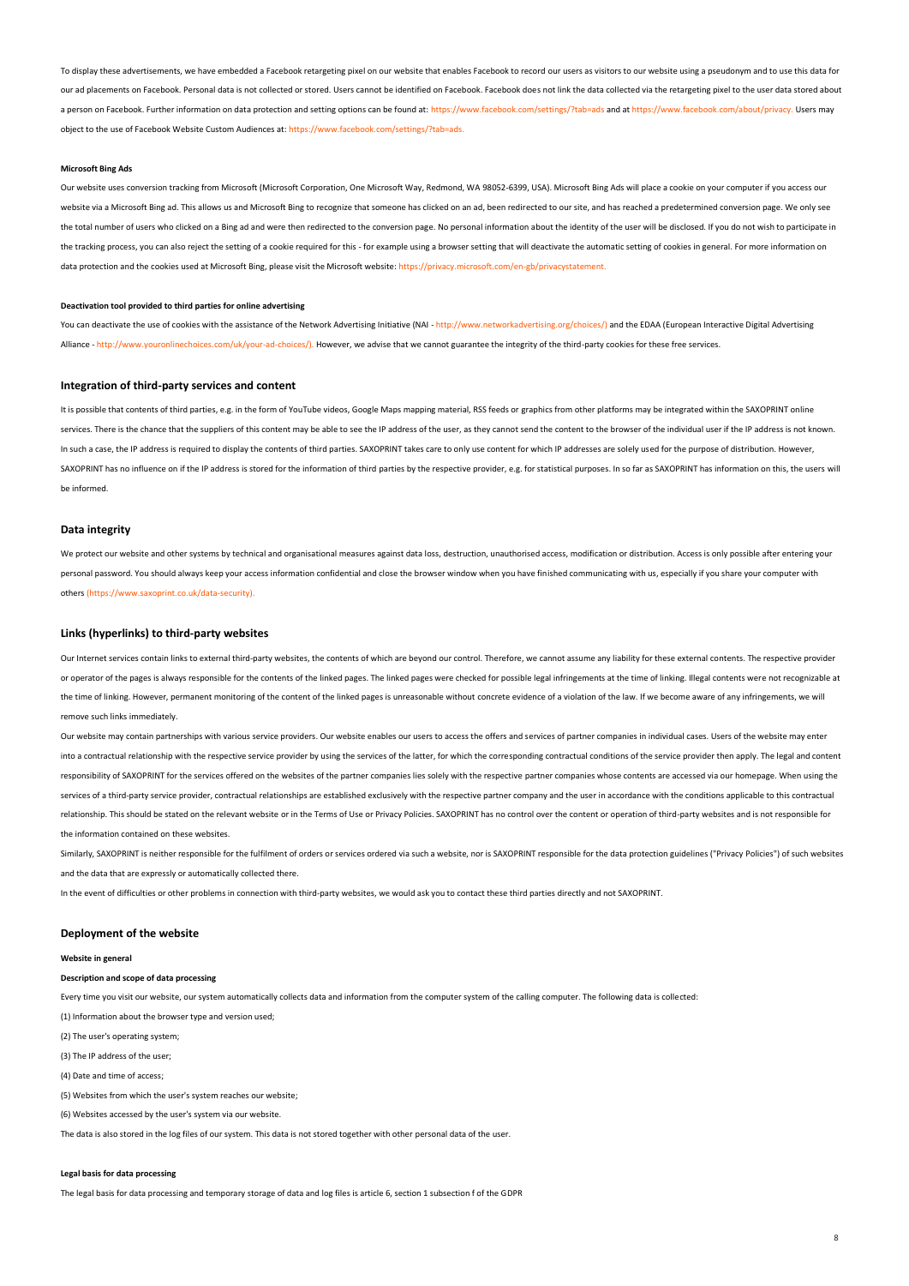To display these advertisements, we have embedded a Facebook retargeting pixel on our website that enables Facebook to record our users as visitors to our website using a pseudonym and to use this data for our ad placements on Facebook. Personal data is not collected or stored. Users cannot be identified on Facebook. Facebook does not link the data collected via the retargeting pixel to the user data stored about a person on Facebook. Further information on data protection and setting options can be found at: <https://www.facebook.com/settings/?tab=ads> and at [https://www.facebook.com/about/privacy.](https://www.facebook.com/about/privacy) Users may object to the use of Facebook Website Custom Audiences at: [https://www.facebook.com/settings/?tab=ads.](https://www.facebook.com/settings/?tab=ads)

#### **Microsoft Bing Ads**

Our website uses conversion tracking from Microsoft (Microsoft Corporation, One Microsoft Way, Redmond, WA 98052-6399, USA). Microsoft Bing Ads will place a cookie on your computer if you access our website via a Microsoft Bing ad. This allows us and Microsoft Bing to recognize that someone has clicked on an ad, been redirected to our site, and has reached a predetermined conversion page. We only see the total number of users who clicked on a Bing ad and were then redirected to the conversion page. No personal information about the identity of the user will be disclosed. If you do not wish to participate in the tracking process, you can also reject the setting of a cookie required for this - for example using a browser setting that will deactivate the automatic setting of cookies in general. For more information on data protection and the cookies used at Microsoft Bing, please visit the Microsoft website: [https://privacy.microsoft.com/en-gb/privacystatement.](https://privacy.microsoft.com/en-gb/privacystatement)

#### **Deactivation tool provided to third parties for online advertising**

You can deactivate the use of cookies with the assistance of the Network Advertising Initiative (NAI - [http://www.networkadvertising.org/choices/\)](http://www.networkadvertising.org/choices/) and the EDAA (European Interactive Digital Advertising Alliance - [http://www.youronlinechoices.com/uk/your-ad-choices/\).](http://www.youronlinechoices.com/uk/your-ad-choices/) However, we advise that we cannot guarantee the integrity of the third-party cookies for these free services.

## **Integration of third-party services and content**

It is possible that contents of third parties, e.g. in the form of YouTube videos, Google Maps mapping material, RSS feeds or graphics from other platforms may be integrated within the SAXOPRINT online services. There is the chance that the suppliers of this content may be able to see the IP address of the user, as they cannot send the content to the browser of the individual user if the IP address is not known. In such a case, the IP address is required to display the contents of third parties. SAXOPRINT takes care to only use content for which IP addresses are solely used for the purpose of distribution. However, SAXOPRINT has no influence on if the IP address is stored for the information of third parties by the respective provider, e.g. for statistical purposes. In so far as SAXOPRINT has information on this, the users will be informed.

#### **Data integrity**

We protect our website and other systems by technical and organisational measures against data loss, destruction, unauthorised access, modification or distribution. Access is only possible after entering your personal password. You should always keep your access information confidential and close the browser window when you have finished communicating with us, especially if you share your computer with others [\(https://www.saxoprint.co.uk/data-security\).](https://www.saxoprint.co.uk/data-security)

## **Links (hyperlinks) to third-party websites**

Our Internet services contain links to external third-party websites, the contents of which are beyond our control. Therefore, we cannot assume any liability for these external contents. The respective provider or operator of the pages is always responsible for the contents of the linked pages. The linked pages were checked for possible legal infringements at the time of linking. Illegal contents were not recognizable at the time of linking. However, permanent monitoring of the content of the linked pages is unreasonable without concrete evidence of a violation of the law. If we become aware of any infringements, we will remove such links immediately.

Our website may contain partnerships with various service providers. Our website enables our users to access the offers and services of partner companies in individual cases. Users of the website may enter into a contractual relationship with the respective service provider by using the services of the latter, for which the corresponding contractual conditions of the service provider then apply. The legal and content responsibility of SAXOPRINT for the services offered on the websites of the partner companies lies solely with the respective partner companies whose contents are accessed via our homepage. When using the services of a third-party service provider, contractual relationships are established exclusively with the respective partner company and the user in accordance with the conditions applicable to this contractual relationship. This should be stated on the relevant website or in the Terms of Use or Privacy Policies. SAXOPRINT has no control over the content or operation of third-party websites and is not responsible for the information contained on these websites.

Similarly, SAXOPRINT is neither responsible for the fulfilment of orders or services ordered via such a website, nor is SAXOPRINT responsible for the data protection guidelines ("Privacy Policies") of such websites and the data that are expressly or automatically collected there.

In the event of difficulties or other problems in connection with third-party websites, we would ask you to contact these third parties directly and not SAXOPRINT.

## **Deployment of the website**

**Website in general**

## **Description and scope of data processing**

Every time you visit our website, our system automatically collects data and information from the computer system of the calling computer. The following data is collected:

(1) Information about the browser type and version used;

(2) The user's operating system;

(3) The IP address of the user;

(4) Date and time of access;

(5) Websites from which the user's system reaches our website;

(6) Websites accessed by the user's system via our website.

The data is also stored in the log files of our system. This data is not stored together with other personal data of the user.

## **Legal basis for data processing**

The legal basis for data processing and temporary storage of data and log files is article 6, section 1 subsection f of the GDPR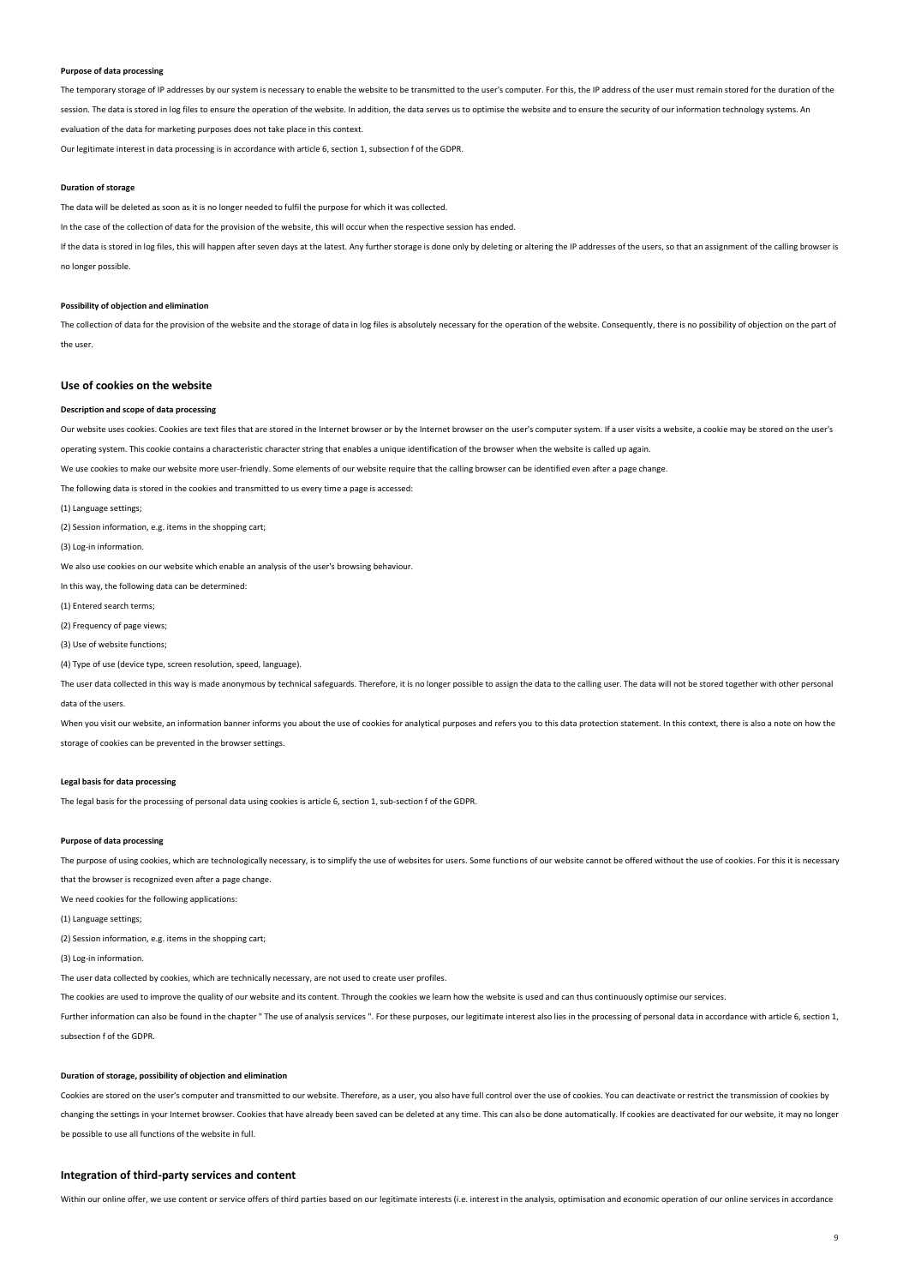#### **Purpose of data processing**

The temporary storage of IP addresses by our system is necessary to enable the website to be transmitted to the user's computer. For this, the IP address of the user must remain stored for the duration of the

session. The data is stored in log files to ensure the operation of the website. In addition, the data serves us to optimise the website and to ensure the security of our information technology systems. An evaluation of the data for marketing purposes does not take place in this context.

Our legitimate interest in data processing is in accordance with article 6, section 1, subsection f of the GDPR.

#### **Duration of storage**

The data will be deleted as soon as it is no longer needed to fulfil the purpose for which it was collected.

In the case of the collection of data for the provision of the website, this will occur when the respective session has ended.

If the data is stored in log files, this will happen after seven days at the latest. Any further storage is done only by deleting or altering the IP addresses of the users, so that an assignment of the calling browser is no longer possible.

#### **Possibility of objection and elimination**

The collection of data for the provision of the website and the storage of data in log files is absolutely necessary for the operation of the website. Consequently, there is no possibility of objection on the part of the user.

## **Use of cookies on the website**

#### **Description and scope of data processing**

Our website uses cookies. Cookies are text files that are stored in the Internet browser or by the Internet browser on the user's computer system. If a user visits a website, a cookie may be stored on the user's

operating system. This cookie contains a characteristic character string that enables a unique identification of the browser when the website is called up again.

We use cookies to make our website more user-friendly. Some elements of our website require that the calling browser can be identified even after a page change.

The following data is stored in the cookies and transmitted to us every time a page is accessed:

(1) Language settings;

(2) Session information, e.g. items in the shopping cart;

#### (3) Log-in information.

We also use cookies on our website which enable an analysis of the user's browsing behaviour.

In this way, the following data can be determined:

(1) Entered search terms;

(2) Frequency of page views;

(3) Use of website functions;

## (4) Type of use (device type, screen resolution, speed, language).

The user data collected in this way is made anonymous by technical safeguards. Therefore, it is no longer possible to assign the data to the calling user. The data will not be stored together with other personal data of the users.

When you visit our website, an information banner informs you about the use of cookies for analytical purposes and refers you to this data protection statement. In this context, there is also a note on how the storage of cookies can be prevented in the browser settings.

#### **Legal basis for data processing**

The legal basis for the processing of personal data using cookies is article 6, section 1, sub-section f of the GDPR.

## **Purpose of data processing**

The purpose of using cookies, which are technologically necessary, is to simplify the use of websites for users. Some functions of our website cannot be offered without the use of cookies. For this it is necessary that the browser is recognized even after a page change.

We need cookies for the following applications:

(1) Language settings;

(2) Session information, e.g. items in the shopping cart;

## (3) Log-in information.

The user data collected by cookies, which are technically necessary, are not used to create user profiles.

The cookies are used to improve the quality of our website and its content. Through the cookies we learn how the website is used and can thus continuously optimise our services.

Further information can also be found in the chapter " The use of analysis services ". For these purposes, our legitimate interest also lies in the processing of personal data in accordance with article 6, section 1, subsection f of the GDPR.

#### **Duration of storage, possibility of objection and elimination**

Cookies are stored on the user's computer and transmitted to our website. Therefore, as a user, you also have full control over the use of cookies. You can deactivate or restrict the transmission of cookies by changing the settings in your Internet browser. Cookies that have already been saved can be deleted at any time. This can also be done automatically. If cookies are deactivated for our website, it may no longer be possible to use all functions of the website in full.

## **Integration of third-party services and content**

Within our online offer, we use content or service offers of third parties based on our legitimate interests (i.e. interest in the analysis, optimisation and economic operation of our online services in accordance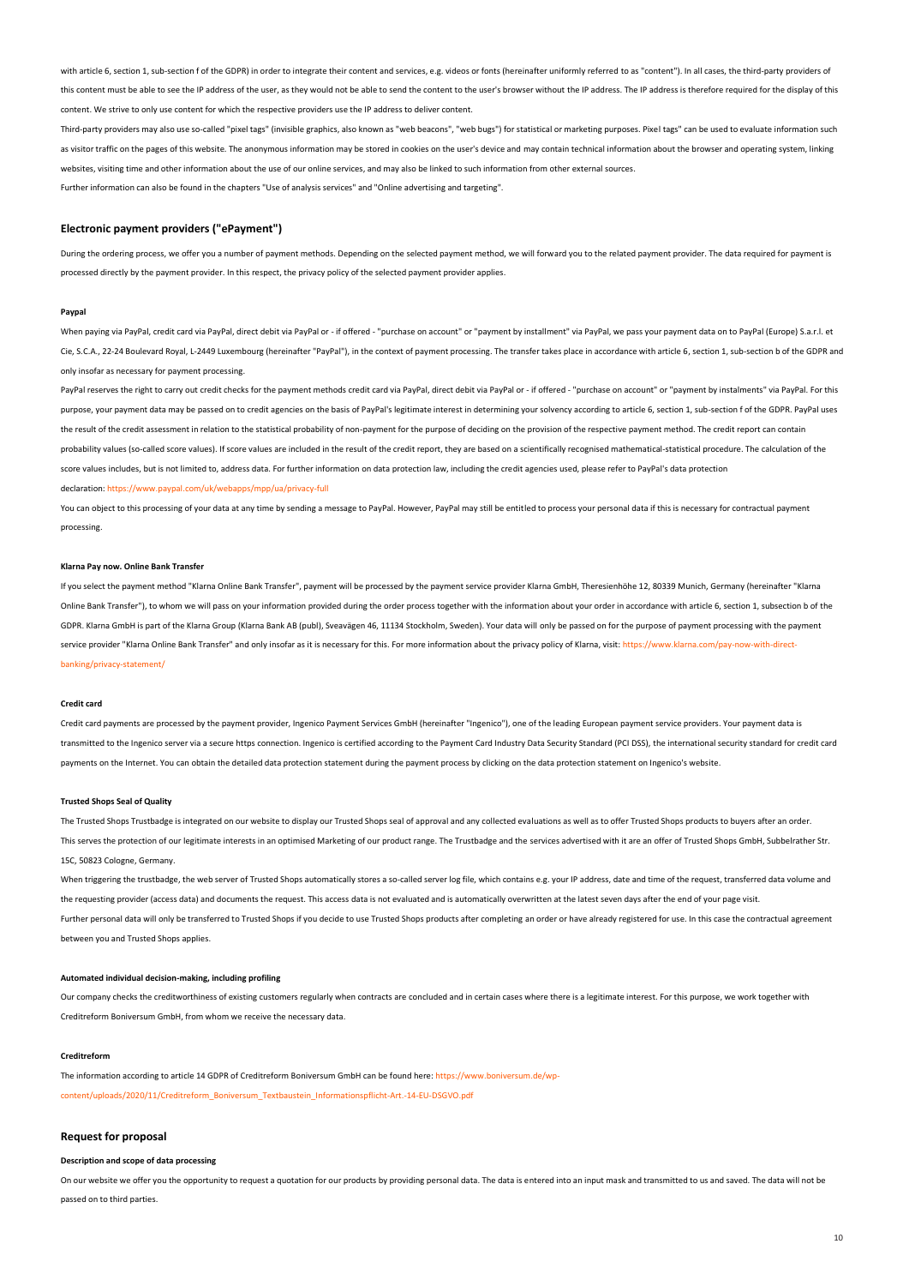with article 6, section 1, sub-section f of the GDPR) in order to integrate their content and services, e.g. videos or fonts (hereinafter uniformly referred to as "content"). In all cases, the third-party providers of this content must be able to see the IP address of the user, as they would not be able to send the content to the user's browser without the IP address. The IP address is therefore required for the display of this content. We strive to only use content for which the respective providers use the IP address to deliver content.

Third-party providers may also use so-called "pixel tags" (invisible graphics, also known as "web beacons", "web bugs") for statistical or marketing purposes. Pixel tags" can be used to evaluate information such as visitor traffic on the pages of this website. The anonymous information may be stored in cookies on the user's device and may contain technical information about the browser and operating system, linking websites, visiting time and other information about the use of our online services, and may also be linked to such information from other external sources. Further information can also be found in the chapters "Use of analysis services" and "Online advertising and targeting".

#### **Electronic payment providers ("ePayment")**

During the ordering process, we offer you a number of payment methods. Depending on the selected payment method, we will forward you to the related payment provider. The data required for payment is processed directly by the payment provider. In this respect, the privacy policy of the selected payment provider applies.

#### **Paypal**

When paying via PayPal, credit card via PayPal, direct debit via PayPal or - if offered - "purchase on account" or "payment by installment" via PayPal, we pass your payment data on to PayPal (Europe) S.a.r.l. et Cie, S.C.A., 22-24 Boulevard Royal, L-2449 Luxembourg (hereinafter "PayPal"), in the context of payment processing. The transfer takes place in accordance with article 6, section 1, sub-section b of the GDPR and only insofar as necessary for payment processing.

PayPal reserves the right to carry out credit checks for the payment methods credit card via PayPal, direct debit via PayPal or - if offered - "purchase on account" or "payment by instalments" via PayPal. For this purpose, your payment data may be passed on to credit agencies on the basis of PayPal's legitimate interest in determining your solvency according to article 6, section 1, sub-section f of the GDPR. PayPal uses the result of the credit assessment in relation to the statistical probability of non-payment for the purpose of deciding on the provision of the respective payment method. The credit report can contain probability values (so-called score values). If score values are included in the result of the credit report, they are based on a scientifically recognised mathematical-statistical procedure. The calculation of the score values includes, but is not limited to, address data. For further information on data protection law, including the credit agencies used, please refer to PayPal's data protection declaration: <https://www.paypal.com/uk/webapps/mpp/ua/privacy-full>

You can object to this processing of your data at any time by sending a message to PayPal. However, PayPal may still be entitled to process your personal data if this is necessary for contractual payment processing.

#### **Klarna Pay now. Online Bank Transfer**

If you select the payment method "Klarna Online Bank Transfer", payment will be processed by the payment service provider Klarna GmbH, Theresienhöhe 12, 80339 Munich, Germany (hereinafter "Klarna Online Bank Transfer"), to whom we will pass on your information provided during the order process together with the information about your order in accordance with article 6, section 1, subsection b of the GDPR. Klarna GmbH is part of the Klarna Group (Klarna Bank AB (publ), Sveavägen 46, 11134 Stockholm, Sweden). Your data will only be passed on for the purpose of payment processing with the payment service provider "Klarna Online Bank Transfer" and only insofar as it is necessary for this. For more information about the privacy policy of Klarna, visit: [https://www.klarna.com/pay-now-with-direct](https://www.klarna.com/pay-now-with-direct-banking/privacy-statement/)[banking/privacy-statement/](https://www.klarna.com/pay-now-with-direct-banking/privacy-statement/)

#### **Credit card**

Credit card payments are processed by the payment provider, Ingenico Payment Services GmbH (hereinafter "Ingenico"), one of the leading European payment service providers. Your payment data is transmitted to the Ingenico server via a secure https connection. Ingenico is certified according to the Payment Card Industry Data Security Standard (PCI DSS), the international security standard for credit card payments on the Internet. You can obtain the detailed data protection statement during the payment process by clicking on the data protection statement on Ingenico's website.

## **Trusted Shops Seal of Quality**

The Trusted Shops Trustbadge is integrated on our website to display our Trusted Shops seal of approval and any collected evaluations as well as to offer Trusted Shops products to buyers after an order. This serves the protection of our legitimate interests in an optimised Marketing of our product range. The Trustbadge and the services advertised with it are an offer of Trusted Shops GmbH, Subbelrather Str. 15C, 50823 Cologne, Germany.

When triggering the trustbadge, the web server of Trusted Shops automatically stores a so-called server log file, which contains e.g. your IP address, date and time of the request, transferred data volume and the requesting provider (access data) and documents the request. This access data is not evaluated and is automatically overwritten at the latest seven days after the end of your page visit. Further personal data will only be transferred to Trusted Shops if you decide to use Trusted Shops products after completing an order or have already registered for use. In this case the contractual agreement between you and Trusted Shops applies.

## **Automated individual decision-making, including profiling**

Our company checks the creditworthiness of existing customers regularly when contracts are concluded and in certain cases where there is a legitimate interest. For this purpose, we work together with Creditreform Boniversum GmbH, from whom we receive the necessary data.

#### **Creditreform**

The information according to article 14 GDPR of Creditreform Boniversum GmbH can be found here: [https://www.boniversum.de/wp](https://www.boniversum.de/wp-content/uploads/2020/11/Creditreform_Boniversum_Textbaustein_Informationspflicht-Art.-14-EU-DSGVO.pdf)[content/uploads/2020/11/Creditreform\\_Boniversum\\_Textbaustein\\_Informationspflicht-Art.-14-EU-DSGVO.pdf](https://www.boniversum.de/wp-content/uploads/2020/11/Creditreform_Boniversum_Textbaustein_Informationspflicht-Art.-14-EU-DSGVO.pdf)

## **Request for proposal**

#### **Description and scope of data processing**

On our website we offer you the opportunity to request a quotation for our products by providing personal data. The data is entered into an input mask and transmitted to us and saved. The data will not be passed on to third parties.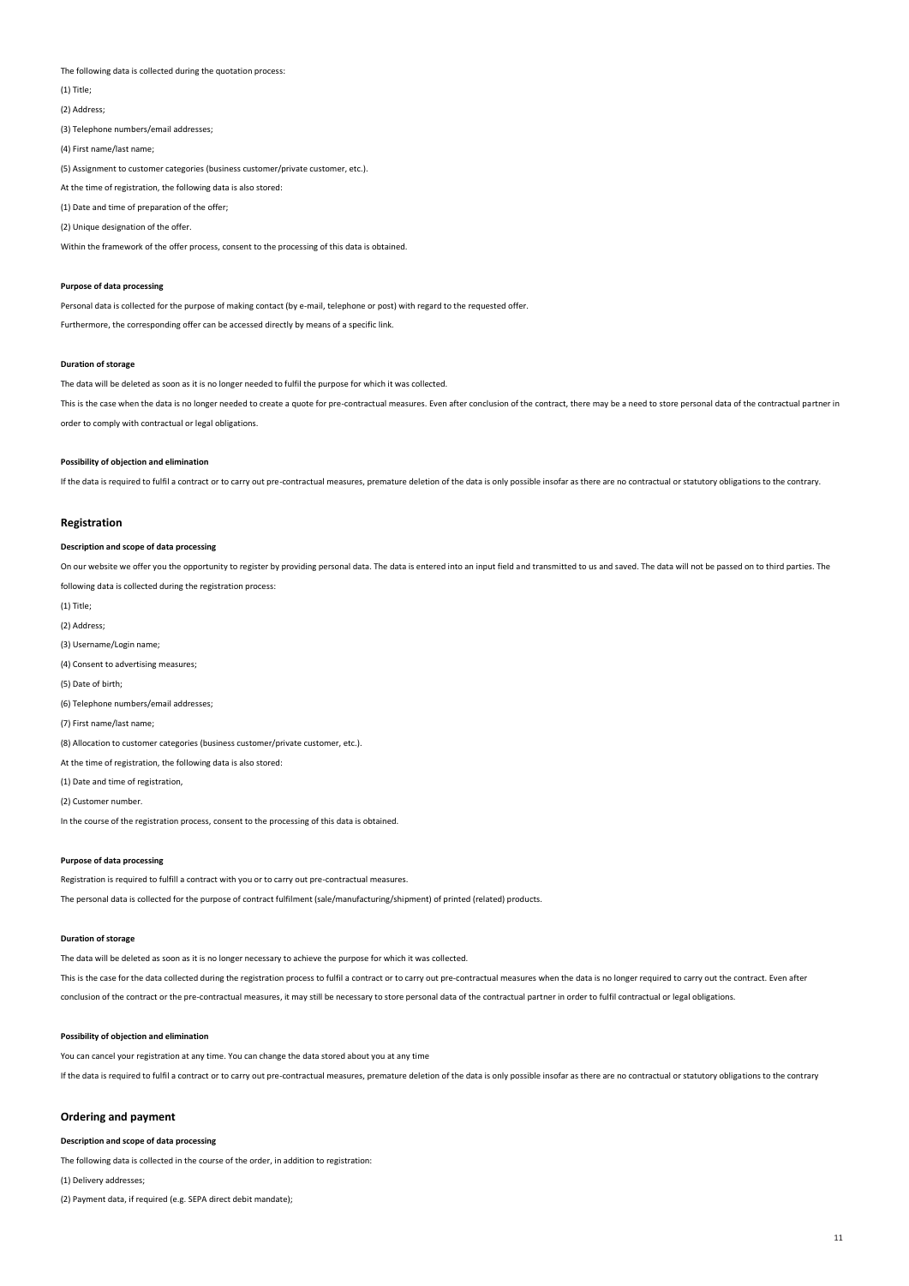## The following data is collected during the quotation process:

(1) Title;

(2) Address;

(3) Telephone numbers/email addresses;

(4) First name/last name;

(5) Assignment to customer categories (business customer/private customer, etc.).

At the time of registration, the following data is also stored:

(1) Date and time of preparation of the offer;

(2) Unique designation of the offer.

Within the framework of the offer process, consent to the processing of this data is obtained.

## **Purpose of data processing**

Personal data is collected for the purpose of making contact (by e-mail, telephone or post) with regard to the requested offer.

Furthermore, the corresponding offer can be accessed directly by means of a specific link.

## **Duration of storage**

The data will be deleted as soon as it is no longer needed to fulfil the purpose for which it was collected.

This is the case when the data is no longer needed to create a quote for pre-contractual measures. Even after conclusion of the contract, there may be a need to store personal data of the contractual partner in order to comply with contractual or legal obligations.

#### **Possibility of objection and elimination**

If the data is required to fulfil a contract or to carry out pre-contractual measures, premature deletion of the data is only possible insofar as there are no contractual or statutory obligations to the contrary.

## **Registration**

## **Description and scope of data processing**

On our website we offer you the opportunity to register by providing personal data. The data is entered into an input field and transmitted to us and saved. The data will not be passed on to third parties. The

following data is collected during the registration process:

(1) Title; (2) Address; (3) Username/Login name; (4) Consent to advertising measures; (5) Date of birth; (6) Telephone numbers/email addresses; (7) First name/last name; (8) Allocation to customer categories (business customer/private customer, etc.). At the time of registration, the following data is also stored: (1) Date and time of registration, (2) Customer number. In the course of the registration process, consent to the processing of this data is obtained.

## **Purpose of data processing**

Registration is required to fulfill a contract with you or to carry out pre-contractual measures.

The personal data is collected for the purpose of contract fulfilment (sale/manufacturing/shipment) of printed (related) products.

## **Duration of storage**

The data will be deleted as soon as it is no longer necessary to achieve the purpose for which it was collected.

This is the case for the data collected during the registration process to fulfil a contract or to carry out pre-contractual measures when the data is no longer required to carry out the contract. Even after

conclusion of the contract or the pre-contractual measures, it may still be necessary to store personal data of the contractual partner in order to fulfil contractual or legal obligations.

## **Possibility of objection and elimination**

You can cancel your registration at any time. You can change the data stored about you at any time

If the data is required to fulfil a contract or to carry out pre-contractual measures, premature deletion of the data is only possible insofar as there are no contractual or statutory obligations to the contrary

## **Ordering and payment**

**Description and scope of data processing**

The following data is collected in the course of the order, in addition to registration:

(1) Delivery addresses;

(2) Payment data, if required (e.g. SEPA direct debit mandate);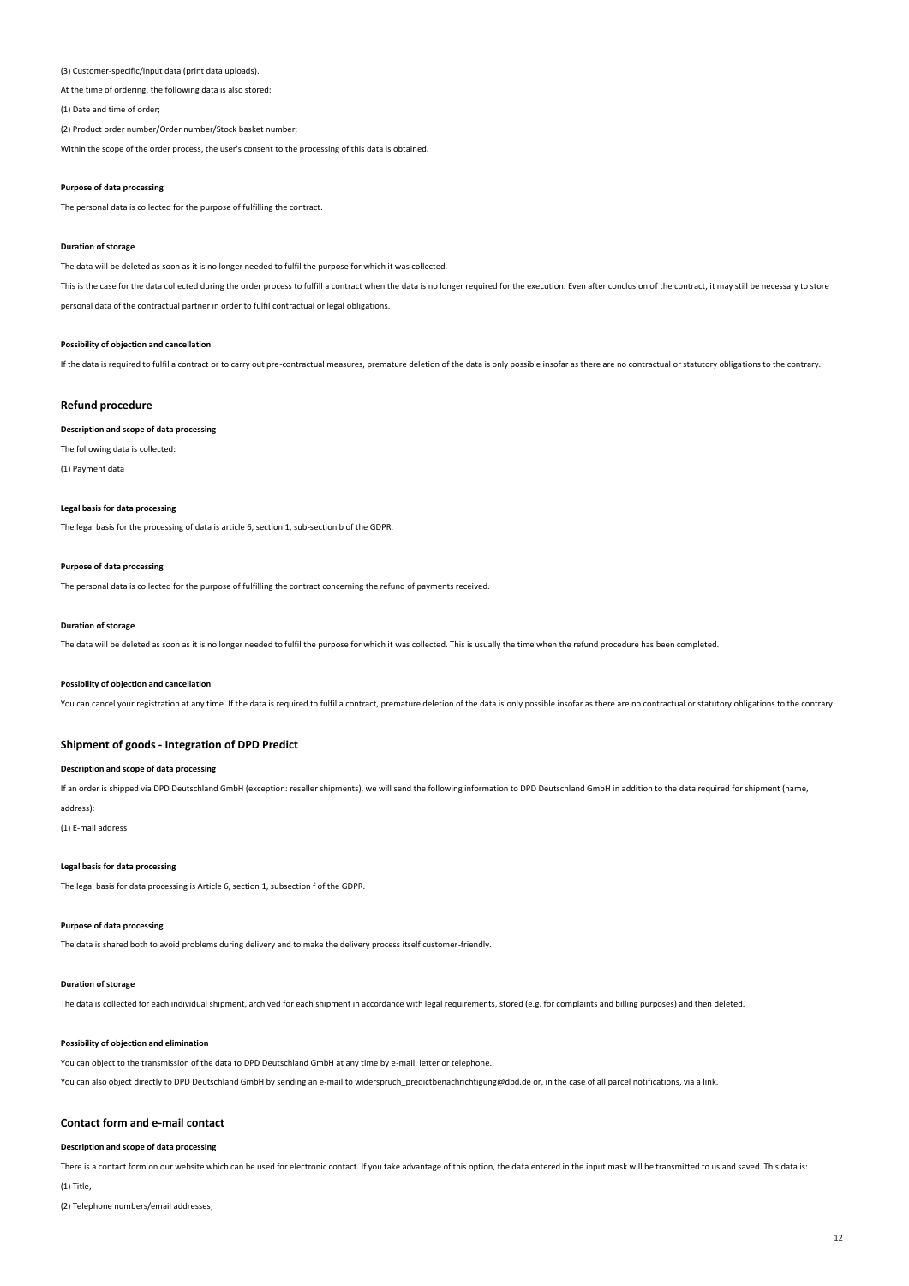(3) Customer-specific/input data (print data uploads).

At the time of ordering, the following data is also stored:

(1) Date and time of order;

(2) Product order number/Order number/Stock basket number;

Within the scope of the order process, the user's consent to the processing of this data is obtained.

## **Purpose of data processing**

The personal data is collected for the purpose of fulfilling the contract.

#### **Duration of storage**

The data will be deleted as soon as it is no longer needed to fulfil the purpose for which it was collected.

This is the case for the data collected during the order process to fulfill a contract when the data is no longer required for the execution. Even after conclusion of the contract, it may still be necessary to store personal data of the contractual partner in order to fulfil contractual or legal obligations.

#### **Possibility of objection and cancellation**

If the data is required to fulfil a contract or to carry out pre-contractual measures, premature deletion of the data is only possible insofar as there are no contractual or statutory obligations to the contrary.

#### **Refund procedure**

## **Description and scope of data processing**

The following data is collected:

(1) Payment data

## **Legal basis for data processing**

The legal basis for the processing of data is article 6, section 1, sub-section b of the GDPR.

#### **Purpose of data processing**

The personal data is collected for the purpose of fulfilling the contract concerning the refund of payments received.

### **Duration of storage**

The data will be deleted as soon as it is no longer needed to fulfil the purpose for which it was collected. This is usually the time when the refund procedure has been completed.

#### **Possibility of objection and cancellation**

You can cancel your registration at any time. If the data is required to fulfil a contract, premature deletion of the data is only possible insofar as there are no contractual or statutory obligations to the contrary.

## **Shipment of goods - Integration of DPD Predict**

## **Description and scope of data processing**

If an order is shipped via DPD Deutschland GmbH (exception: reseller shipments), we will send the following information to DPD Deutschland GmbH in addition to the data required for shipment (name,

## address):

(1) E-mail address

## **Legal basis for data processing**

The legal basis for data processing is Article 6, section 1, subsection f of the GDPR.

## **Purpose of data processing**

The data is shared both to avoid problems during delivery and to make the delivery process itself customer-friendly.

#### **Duration of storage**

The data is collected for each individual shipment, archived for each shipment in accordance with legal requirements, stored (e.g. for complaints and billing purposes) and then deleted.

#### **Possibility of objection and elimination**

You can object to the transmission of the data to DPD Deutschland GmbH at any time by e-mail, letter or telephone.

You can also object directly to DPD Deutschland GmbH by sending an e-mail to widerspruch\_predictbenachrichtigung@dpd.de or, in the case of all parcel notifications, via a link.

## **Contact form and e-mail contact**

#### **Description and scope of data processing**

There is a contact form on our website which can be used for electronic contact. If you take advantage of this option, the data entered in the input mask will be transmitted to us and saved. This data is: (1) Title,

(2) Telephone numbers/email addresses,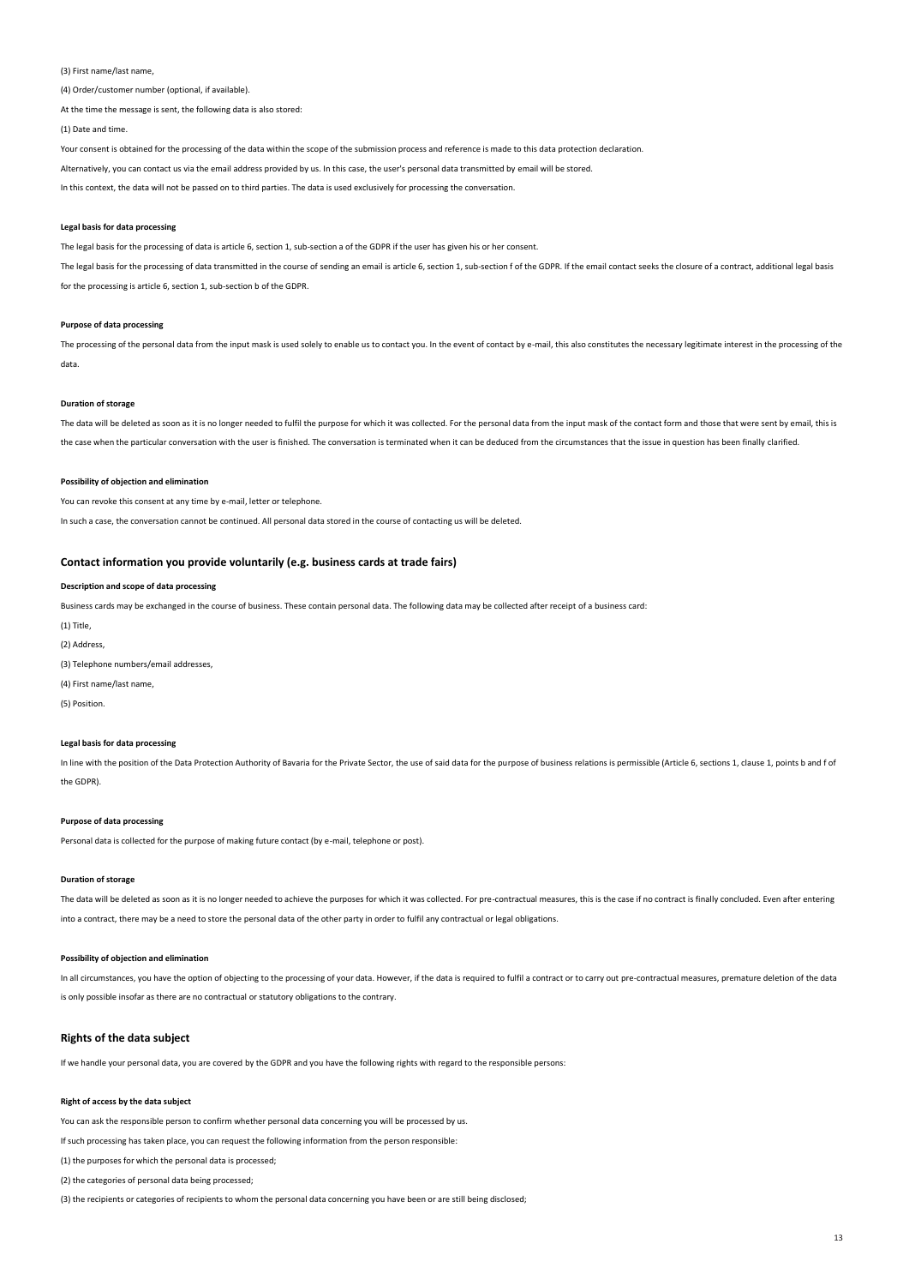#### (3) First name/last name,

(4) Order/customer number (optional, if available).

At the time the message is sent, the following data is also stored:

(1) Date and time.

Your consent is obtained for the processing of the data within the scope of the submission process and reference is made to this data protection declaration.

Alternatively, you can contact us via the email address provided by us. In this case, the user's personal data transmitted by email will be stored.

In this context, the data will not be passed on to third parties. The data is used exclusively for processing the conversation.

## **Legal basis for data processing**

The legal basis for the processing of data is article 6, section 1, sub-section a of the GDPR if the user has given his or her consent.

The legal basis for the processing of data transmitted in the course of sending an email is article 6, section 1, sub-section f of the GDPR. If the email contact seeks the closure of a contract, additional legal basis

for the processing is article 6, section 1, sub-section b of the GDPR.

## **Purpose of data processing**

The processing of the personal data from the input mask is used solely to enable us to contact you. In the event of contact by e-mail, this also constitutes the necessary legitimate interest in the processing of the data.

#### **Duration of storage**

The data will be deleted as soon as it is no longer needed to fulfil the purpose for which it was collected. For the personal data from the input mask of the contact form and those that were sent by email, this is the case when the particular conversation with the user is finished. The conversation is terminated when it can be deduced from the circumstances that the issue in question has been finally clarified.

#### **Possibility of objection and elimination**

You can revoke this consent at any time by e-mail, letter or telephone.

In such a case, the conversation cannot be continued. All personal data stored in the course of contacting us will be deleted

## **Contact information you provide voluntarily (e.g. business cards at trade fairs)**

## **Description and scope of data processing**

Business cards may be exchanged in the course of business. These contain personal data. The following data may be collected after receipt of a business card:

(1) Title,

(2) Address,

(3) Telephone numbers/email addresses,

(4) First name/last name,

(5) Position.

## **Legal basis for data processing**

In line with the position of the Data Protection Authority of Bavaria for the Private Sector, the use of said data for the purpose of business relations is permissible (Article 6, sections 1, clause 1, points b and f of the GDPR).

## **Purpose of data processing**

Personal data is collected for the purpose of making future contact (by e-mail, telephone or post).

## **Duration of storage**

The data will be deleted as soon as it is no longer needed to achieve the purposes for which it was collected. For pre-contractual measures, this is the case if no contract is finally concluded. Even after entering into a contract, there may be a need to store the personal data of the other party in order to fulfil any contractual or legal obligations.

## **Possibility of objection and elimination**

In all circumstances, you have the option of objecting to the processing of your data. However, if the data is required to fulfil a contract or to carry out pre-contractual measures, premature deletion of the data is only possible insofar as there are no contractual or statutory obligations to the contrary.

## **Rights of the data subject**

If we handle your personal data, you are covered by the GDPR and you have the following rights with regard to the responsible persons:

## **Right of access by the data subject**

You can ask the responsible person to confirm whether personal data concerning you will be processed by us.

If such processing has taken place, you can request the following information from the person responsible:

(1) the purposes for which the personal data is processed;

(2) the categories of personal data being processed;

(3) the recipients or categories of recipients to whom the personal data concerning you have been or are still being disclosed;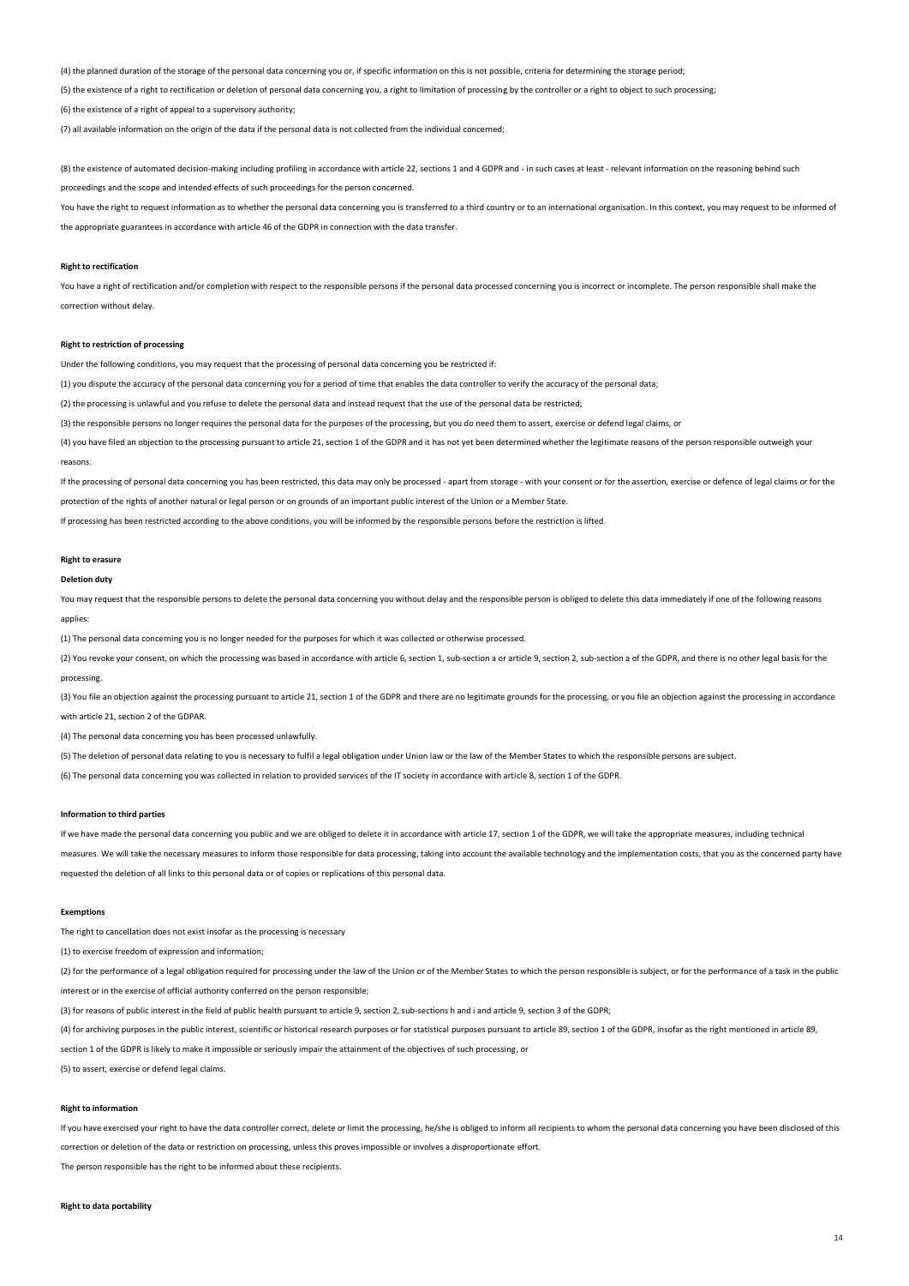(4) the planned duration of the storage of the personal data concerning you or, if specific information on this is not possible, criteria for determining the storage period;

(5) the existence of a right to rectification or deletion of personal data concerning you, a right to limitation of processing by the controller or a right to object to such processing;

(6) the existence of a right of appeal to a supervisory authority;

(7) all available information on the origin of the data if the personal data is not collected from the individual concerned;

(8) the existence of automated decision-making including profiling in accordance with article 22, sections 1 and 4 GDPR and - in such cases at least - relevant information on the reasoning behind such proceedings and the scope and intended effects of such proceedings for the person concerned.

You have the right to request information as to whether the personal data concerning you is transferred to a third country or to an international organisation. In this context, you may request to be informed of the appropriate guarantees in accordance with article 46 of the GDPR in connection with the data transfer.

#### **Right to rectification**

You have a right of rectification and/or completion with respect to the responsible persons if the personal data processed concerning you is incorrect or incomplete. The person responsible shall make the correction without delay.

#### **Right to restriction of processing**

Under the following conditions, you may request that the processing of personal data concerning you be restricted if:

(1) you dispute the accuracy of the personal data concerning you for a period of time that enables the data controller to verify the accuracy of the personal data;

(2) the processing is unlawful and you refuse to delete the personal data and instead request that the use of the personal data be restricted;

(3) the responsible persons no longer requires the personal data for the purposes of the processing, but you do need them to assert, exercise or defend legal claims, or

(4) you have filed an objection to the processing pursuant to article 21, section 1 of the GDPR and it has not yet been determined whether the legitimate reasons of the person responsible outweigh your reasons.

If the processing of personal data concerning you has been restricted, this data may only be processed - apart from storage - with your consent or for the assertion, exercise or defence of legal claims or for the protection of the rights of another natural or legal person or on grounds of an important public interest of the Union or a Member State.

If processing has been restricted according to the above conditions, you will be informed by the responsible persons before the restriction is lifted.

#### **Right to erasure**

#### **Deletion duty**

You may request that the responsible persons to delete the personal data concerning you without delay and the responsible person is obliged to delete this data immediately if one of the following reasons applies:

(1) The personal data concerning you is no longer needed for the purposes for which it was collected or otherwise processed.

(2) You revoke your consent, on which the processing was based in accordance with article 6, section 1, sub-section a or article 9, section 2, sub-section a of the GDPR, and there is no other legal basis for the processing.

(3) You file an objection against the processing pursuant to article 21, section 1 of the GDPR and there are no legitimate grounds for the processing, or you file an objection against the processing in accordance with article 21, section 2 of the GDPAR.

(4) The personal data concerning you has been processed unlawfully.

(5) The deletion of personal data relating to you is necessary to fulfil a legal obligation under Union law or the law of the Member States to which the responsible persons are subject.

(6) The personal data concerning you was collected in relation to provided services of the IT society in accordance with article 8, section 1 of the GDPR.

#### **Information to third parties**

If we have made the personal data concerning you public and we are obliged to delete it in accordance with article 17, section 1 of the GDPR, we will take the appropriate measures, including technical measures. We will take the necessary measures to inform those responsible for data processing, taking into account the available technology and the implementation costs, that you as the concerned party have requested the deletion of all links to this personal data or of copies or replications of this personal data.

## **Exemptions**

The right to cancellation does not exist insofar as the processing is necessary

(1) to exercise freedom of expression and information;

(2) for the performance of a legal obligation required for processing under the law of the Union or of the Member States to which the person responsible is subject, or for the performance of a task in the public interest or in the exercise of official authority conferred on the person responsible;

(3) for reasons of public interest in the field of public health pursuant to article 9, section 2, sub-sections h and i and article 9, section 3 of the GDPR;

(4) for archiving purposes in the public interest, scientific or historical research purposes or for statistical purposes pursuant to article 89, section 1 of the GDPR, insofar as the right mentioned in article 89,

section 1 of the GDPR is likely to make it impossible or seriously impair the attainment of the objectives of such processing, or

(5) to assert, exercise or defend legal claims.

## **Right to information**

If you have exercised your right to have the data controller correct, delete or limit the processing, he/she is obliged to inform all recipients to whom the personal data concerning you have been disclosed of this correction or deletion of the data or restriction on processing, unless this proves impossible or involves a disproportionate effort.

The person responsible has the right to be informed about these recipients.

#### **Right to data portability**